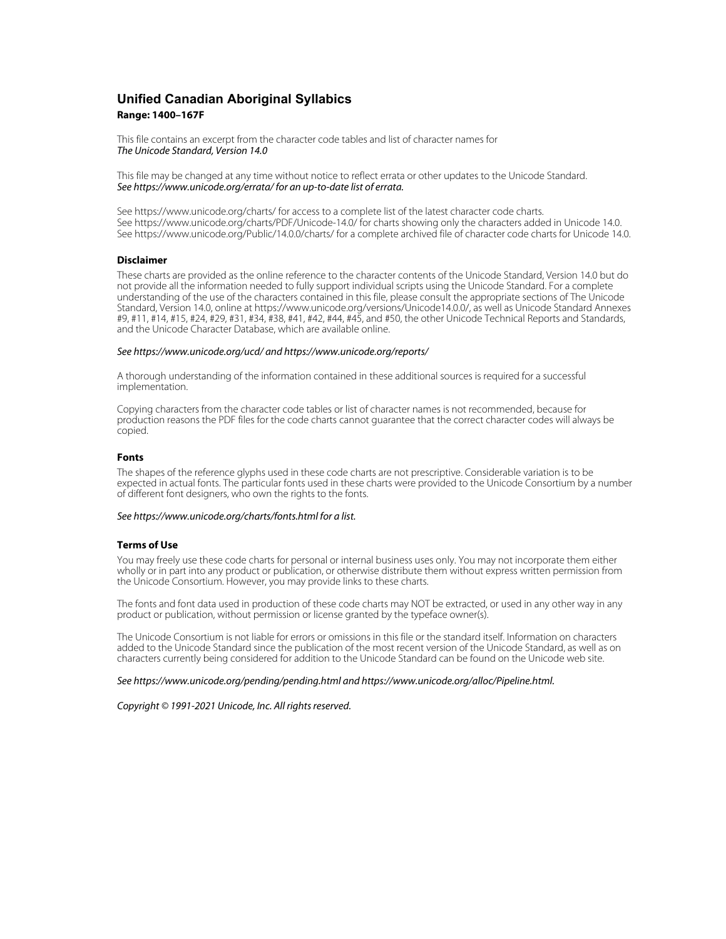# **Unified Canadian Aboriginal Syllabics Range: 1400–167F**

This file contains an excerpt from the character code tables and list of character names for The Unicode Standard, Version 14.0

This file may be changed at any time without notice to reflect errata or other updates to the Unicode Standard. See https://www.unicode.org/errata/ for an up-to-date list of errata.

See https://www.unicode.org/charts/ for access to a complete list of the latest character code charts. See https://www.unicode.org/charts/PDF/Unicode-14.0/ for charts showing only the characters added in Unicode 14.0. See https://www.unicode.org/Public/14.0.0/charts/ for a complete archived file of character code charts for Unicode 14.0.

## **Disclaimer**

These charts are provided as the online reference to the character contents of the Unicode Standard, Version 14.0 but do not provide all the information needed to fully support individual scripts using the Unicode Standard. For a complete understanding of the use of the characters contained in this file, please consult the appropriate sections of The Unicode Standard, Version 14.0, online at https://www.unicode.org/versions/Unicode14.0.0/, as well as Unicode Standard Annexes #9, #11, #14, #15, #24, #29, #31, #34, #38, #41, #42, #44, #45, and #50, the other Unicode Technical Reports and Standards, and the Unicode Character Database, which are available online.

#### See https://www.unicode.org/ucd/ and https://www.unicode.org/reports/

A thorough understanding of the information contained in these additional sources is required for a successful implementation.

Copying characters from the character code tables or list of character names is not recommended, because for production reasons the PDF files for the code charts cannot guarantee that the correct character codes will always be copied.

#### **Fonts**

The shapes of the reference glyphs used in these code charts are not prescriptive. Considerable variation is to be expected in actual fonts. The particular fonts used in these charts were provided to the Unicode Consortium by a number of different font designers, who own the rights to the fonts.

## See https://www.unicode.org/charts/fonts.html for a list.

### **Terms of Use**

You may freely use these code charts for personal or internal business uses only. You may not incorporate them either wholly or in part into any product or publication, or otherwise distribute them without express written permission from the Unicode Consortium. However, you may provide links to these charts.

The fonts and font data used in production of these code charts may NOT be extracted, or used in any other way in any product or publication, without permission or license granted by the typeface owner(s).

The Unicode Consortium is not liable for errors or omissions in this file or the standard itself. Information on characters added to the Unicode Standard since the publication of the most recent version of the Unicode Standard, as well as on characters currently being considered for addition to the Unicode Standard can be found on the Unicode web site.

#### See https://www.unicode.org/pending/pending.html and https://www.unicode.org/alloc/Pipeline.html.

Copyright © 1991-2021 Unicode, Inc. All rights reserved.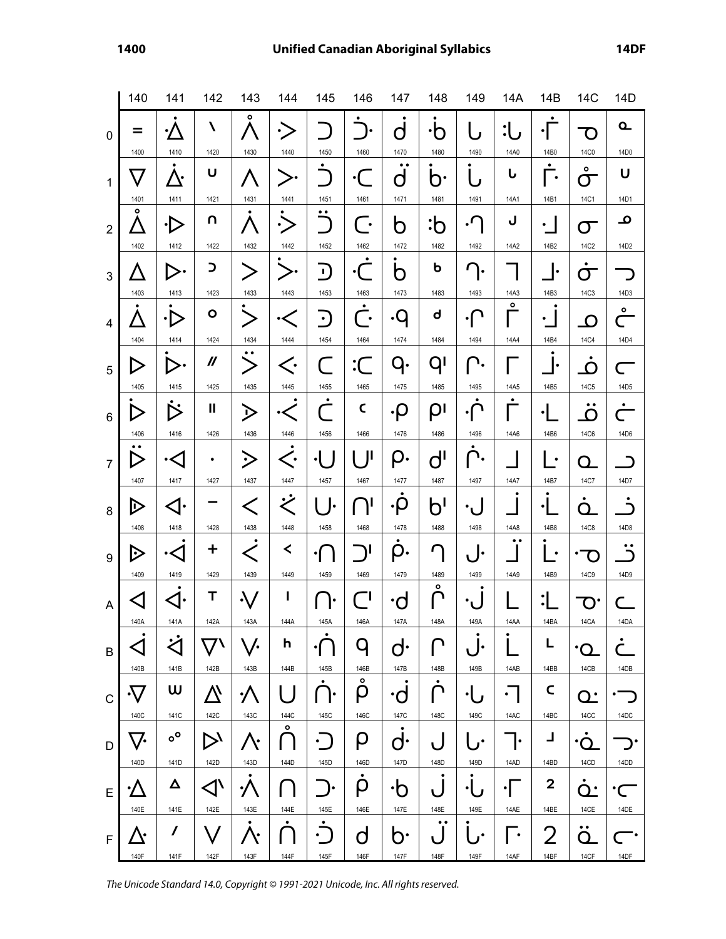|                  | 140                           | 141                            | 142                      | 143                           | 144                 | 145                    | 146                              | 147                     | 148                         | 149                  | 14A                            | 14B                    | 14C                                | 14D                                                     |
|------------------|-------------------------------|--------------------------------|--------------------------|-------------------------------|---------------------|------------------------|----------------------------------|-------------------------|-----------------------------|----------------------|--------------------------------|------------------------|------------------------------------|---------------------------------------------------------|
| $\mathbf 0$      | =                             | .∕′                            | N                        | ۰                             | ۰,                  |                        |                                  | O                       | ۰ņ                          |                      | :1                             | ٠                      | $\Omega$                           | $\mathbf{a}$                                            |
| $\mathbf{1}$     | 1400                          | 1410<br><u>八.</u>              | 1420<br>υ                | 1430                          | 1440<br>➢.          | 1450<br>٠              | 1460<br>$\cdot$ (                | 1470<br>$\bullet$<br>d  | 1480<br>D٠                  | 1490                 | 14A0<br>Ⴑ                      | 14B0<br>٠<br>$\bullet$ | 14C0<br>$\circ$<br>σ               | 14D0<br>U                                               |
|                  | 1401                          | 1411                           | 1421                     | 1431                          | 1441                | 1451                   | 1461                             | 1471                    | 1481                        | 1491                 | 14A1                           | 14B1                   | 14C1                               | 14D1                                                    |
| $\overline{2}$   | $\circ$                       | ∙Ŋ                             | n                        |                               | $\frac{1}{2}$       | $\bullet\bullet$       | $\overline{\phantom{a}}$         | b                       | :ხ                          | $\cdot^{\prime}$     | J                              | $\bullet$              | σ                                  | <u>م</u>                                                |
|                  | 1402                          | 1412                           | 1422                     | 1432                          | 1442                | 1452                   | 1462                             | 1472                    | 1482                        | 1492                 | 14A2                           | 14B2                   | 14C2                               | 14D2                                                    |
| 3                | 1403                          | ∣ >∙<br>1413                   | $\mathbf{C}$<br>1423     | 1433                          | 1443                | $\blacksquare$<br>1453 | . [<br>1463                      | b<br>1473               | ь<br>1483                   | λ.<br>1493           | 14A3                           | I۰<br>14B3             | ٠<br>$\mathbf \Omega$<br>14C3      | 14D3                                                    |
| $\overline{4}$   |                               | •Ŋ                             | O                        |                               | $\cdot$ $<$         | $\mathbf{C}$           | ٠<br>$\overline{\phantom{a}}$    | .q                      | d                           | ∙∣                   | $\circ$                        | ٠<br>٠                 | O                                  | $\circ$<br>$\overline{\phantom{a}}$                     |
|                  | 1404                          | 1414                           | 1424                     | 1434                          | 1444                | 1454                   | 1464                             | 1474                    | 1484                        | 1494                 | 14A4                           | 14B4                   | <b>14C4</b>                        | 14D4                                                    |
| $\overline{5}$   |                               | ▷∙                             | $\mathcal{U}$            | $\bf{>}$                      | $\mathopen\smile$   | $\mathbb{R}^2$         | $\cdot$ C                        | q.                      | qı                          | ㄱ.                   |                                | ۱e                     | $\Omega$                           | C                                                       |
|                  | 1405                          | 1415                           | 1425<br>Ш                | 1435                          | 1445                | 1455<br>$\bullet$      | 1465<br>C                        | 1475                    | 1485                        | 1495<br>٠            | 14A5<br>$\bullet$              | 14B5                   | <b>14C5</b><br>$\bullet\; \bullet$ | 14D <sub>5</sub><br>٠                                   |
| $6\phantom{1}$   | D<br>1406                     | $\dot{\triangleright}$<br>1416 | 1426                     | $\bm{\triangleright}$<br>1436 | $\cdot$ $<$<br>1446 | 1456                   | 1466                             | $\cdot \! \rho$<br>1476 | ρι<br>1486                  | 1496                 | 14A6                           | $\bullet$<br>14B6      | O<br><b>14C6</b>                   | 14D6                                                    |
| $\overline{7}$   |                               | •⊲                             | ٠                        | $\dot{\ge}$                   | く.                  | $\cdot$ $\vert$        | - JI                             | ρ.                      | $d^{\prime}$                | ገ.                   |                                | $\bullet$              | Q                                  | $\overline{\phantom{a}}$                                |
|                  | 1407                          | 1417                           | 1427                     | 1437                          | 1447                | 1457                   | 1467                             | 1477<br>٠               | 1487                        | 1497                 | 14A7                           | 14B7                   | 14C7                               | 14D7                                                    |
| $\,8\,$          | ▷<br>1408                     | ⊲∙<br>1418                     | 1428                     | $\lt$<br>1438                 | .<br>K<br>1448      | <b>I.</b><br>1458      | יך<br>1468                       | ۰Ó<br>1478              | b'<br>1488                  | 1498                 | 14A8                           | $\bullet$<br>14B8      | ∩<br><b>14C8</b>                   | $\bigcap$<br>14D8                                       |
|                  |                               |                                |                          |                               | $\prec$             |                        |                                  |                         | r                           |                      | $\bullet$ $\bullet$            |                        |                                    | $\bullet$                                               |
| $\boldsymbol{9}$ | ▷<br>1409                     | ∙<∣<br>1419                    | +<br>1429                | ✓<br>1439                     | 1449                | 1459                   | $\mathbf{I}$<br>1469             | ρ.<br>1479              | 1489                        | l e<br>1499          | 14A9                           | ٠<br>14B9              | O<br><b>14C9</b>                   | $\bigcap$<br>14D9                                       |
|                  |                               |                                | Т                        |                               | ı                   |                        |                                  |                         | $\bullet$                   |                      |                                |                        |                                    |                                                         |
| $\overline{A}$   | $\operatorname{\lhd}$<br>140A | 141A                           | 142A                     | 143A                          | 144A                | ŀ<br>145A              | $\overline{\phantom{a}}$<br>146A | ۰d<br>147A              | 148A                        | 149A                 | 14AA                           | $\ddot{\cdot}$<br>14BA | $\mathbf O$<br>14CA                | ⊂<br>14DA                                               |
| B                | ٠<br>$\operatorname{\lhd}$    | Ċ                              | $\overline{\phantom{a}}$ | \ /.                          | h                   | $\cdot$ ( )            | q                                | $\mathsf{d}$            |                             | ı.                   |                                | L                      | $\cdot$ O                          | ٠<br>C.                                                 |
|                  | 140B                          | 141B                           | 142B                     | 143B                          | 144B                | 145B                   | 146B                             | 147B                    | 148B                        | 149B                 | 14AB                           | 14BB                   | 14CB                               | 14DB                                                    |
| $\mathsf{C}$     | <u>.V</u>                     | W                              | 八                        | ·/                            |                     | ∩∙                     | $\bullet$<br>ρ                   | ٠d                      | ⋂                           | $\cdot$ ,            | $\cdot$ I                      | C                      | Q.                                 | $\mathbin{\overline{\phantom{a}}}\mathbin{\phantom{a}}$ |
|                  | 140C                          | 141C                           | 142C                     | 143C                          | 144C<br>$\bullet$   | 145C                   | 146C                             | 147C<br>$\bullet$       | 148C                        | 149C                 | 14AC                           | 14BC                   | 14CC                               | 14DC                                                    |
| D                | V.<br>140D                    | $\circ^{\circ}$<br>141D        | レ<br>142D                | 八<br>143D                     | $\sqrt{}$<br>144D   | $\cdot$<br>145D        | ρ<br>146D                        | $\dot{q}$ .<br>147D     | ل<br>148D                   | $\mathbf{r}$<br>149D | $\left  \cdot \right $<br>14AD | L<br>14BD              | ٠Q<br>14CD                         | 14DD                                                    |
|                  |                               | Δ                              |                          |                               |                     |                        |                                  |                         |                             |                      |                                | $\boldsymbol{2}$       |                                    |                                                         |
| E                | <u> ∙∕\</u>                   |                                | $\triangleleft$          |                               |                     | . .                    | ρ                                | $\cdot b$               | J                           |                      | ∙I -                           |                        | Q.                                 | $\cdot$ $\subset$                                       |
|                  | 140E                          | 141E<br>$\prime$               | 142E                     | 143E                          | 144E                | 145E<br>$\bigcup$      | 146E<br>$\mathsf d$              | 147E                    | 148E<br>$\bullet\; \bullet$ | 149E                 | 14AE<br>$\bullet$              | 14BE<br>2              | 14CE<br>$\bullet$ $\bullet$        | 14DE                                                    |
| $\mathsf F$      | 140F                          | 141F                           | 142F                     | ò<br>143F                     | 144F                | 145F                   | 146F                             | b٠<br>147F              | 148F                        | $\cdot$<br>149F      | 14AF                           | 14BF                   | $\Omega$<br>14CF                   | 14DF                                                    |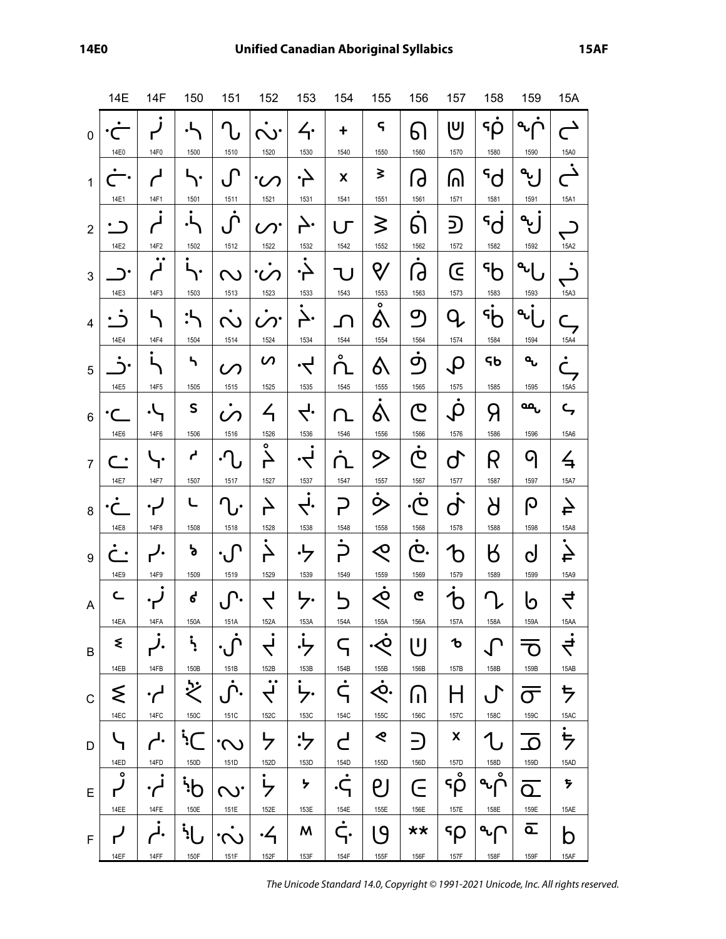|                         | 14E                   | 14F            | 150                     | 151                   | 152                                                     | 153                                | 154                   | 155                                   | 156                                  | 157                       | 158                               | 159                                  | 15A                               |
|-------------------------|-----------------------|----------------|-------------------------|-----------------------|---------------------------------------------------------|------------------------------------|-----------------------|---------------------------------------|--------------------------------------|---------------------------|-----------------------------------|--------------------------------------|-----------------------------------|
| $\mathbf 0$             | ٠<br>14E0             | ٠<br>٢<br>14F0 | .L<br>1500              | η<br>1510             | $\mathbf{v}$<br>1520                                    | 4.<br>1530                         | $\ddot{}$<br>1540     | $\varsigma$<br>1550                   | 61<br>1560                           | וטן<br>1570               | $\mathsf{G}$<br>$\rho$<br>1580    | $\mathbf{q}_\mathbf{u}$<br>ר<br>1590 | 15A0                              |
| $\mathbf{1}$            | 14E1                  | 14F1           | 1501                    | $\int$<br>1511        | 1521                                                    | 1531                               | X<br>1541             | ₹<br>1551                             | $\Theta$<br>1561                     | ဂါ<br>1571                | $\mathsf{S}^{\mathsf{P}}$<br>1581 | $\mathbf{a}$<br>1591                 | ▁<br>15A1                         |
| $\overline{2}$          | 14E2                  | 14F2           | Ļ,<br>1502              | ِنِ<br>1512           | $\infty$ .<br>1522                                      | Ļ.                                 | - Г                   | ≶<br>1552                             | ٠<br>61<br>1562                      | 2<br>1572                 | ς,<br>1582                        | $\mathbf{q}$<br>1592                 |                                   |
| 3                       | •ר                    | $\bullet$      | ٠                       | (V)                   |                                                         | 1532                               | 1542                  | ୧,                                    | $\bullet$<br>G                       | Œ                         | $\mathcal{A}$                     | $\mathbf{q}$                         | 15A2                              |
| $\overline{\mathbf{4}}$ | 14E3                  | 14F3           | 1503                    | 1513                  | 1523                                                    | 1533<br><u>і</u>                   | 1543                  | 1553<br>$\bullet$<br>6                | 1563<br>$\sigma$                     | 1573<br>O                 | 1583<br>հի                        | 1593<br>$\mathbf{q}_\mathbf{U}$      | 15A3<br>⊂                         |
| 5                       | 14E4                  | 14F4           | 1504<br>ካ               | 1514<br>$\mathcal{C}$ | 1524<br>$\boldsymbol{\mathcal{G}}$                      | 1534<br>ーマ                         | 1544<br>$\circ$<br>Րւ | 1554<br>6\                            | 1564<br>٠<br>$\mathbf{\sigma}$       | 1574<br>$\bm{\mathsf{Q}}$ | 1584<br>ҁь                        | 1594<br>٩                            | 15A4<br>$\bullet$<br>٣<br>7       |
| $\,6$                   | 14E5                  | 14F5<br>۰\     | 1505<br>S               | 1515                  | 1525<br>イ                                               | 1535<br>$\overline{\zeta}$         | 1545<br>Ղ             | 1555<br>δ\                            | 1565<br>$\mathbf{\Omega}$            | 1575<br>$\bm{\mathsf{Q}}$ | 1585<br>Я                         | 1595<br>مم                           | 15A5<br>ς                         |
| $\overline{7}$          | 14E6<br>$\bullet$     | 14F6<br>. .    | 1506<br>لم              | 1516<br>.r            | 1526<br>۰                                               | 1536<br>$\cdot \blacktriangleleft$ | 1546                  | 1556<br>シ                             | 1566<br>٠<br>ဇ                       | 1576<br>$\mathsf{Q}$      | 1586<br>R                         | 1596<br>q                            | 15A6<br>与                         |
| 8                       | 14E7                  | 14F7           | 1507<br>└               | 1517<br>٠             | 1527<br>$\overline{\phantom{a}}$                        | 1537<br>Ļ.                         | 1547                  | 1557<br>ら                             | 1567<br>တ.                           | 1577<br>$\dot{q}$         | 1587<br>ბ                         | 1597<br>ပြ                           | 15A7<br>슥                         |
| 9                       | 14E8<br>$\bullet$     | 14F8<br>ノ.     | 1508<br>ኔ               | 1518<br>$\cdot \int$  | 1528<br>Ą                                               | 1538                               | 1548<br>.<br>س        | 1558<br>$\Diamond$                    | 1568<br>$\bullet$<br>$\mathcal{D}$ . | 1578<br>$\mathbf b$       | 1588<br>Ӄ                         | 1598<br>$\mathbf C$                  | 15A8<br>$\overline{4}$            |
| A                       | 14E9<br>$\subset$     | 14F9           | 1509<br>ሪ               | 1519<br>١.            | 1529<br>$\prec$                                         | 1539                               | 1549                  | 1559<br>∕О                            | 1569<br>ဇ                            | 1579                      | 1589<br>r                         | 1599<br>ს                            | 15A9<br>$\overline{\overline{C}}$ |
| B                       | 14EA<br>₹             | 14FA<br>J.     | 150A<br>ż               | 151A<br>$\cdot \int$  | 152A                                                    | 153A                               | 154A<br>ς             | 155A<br>. <sub><o< sub=""></o<></sub> | 156A<br>''                           | 157A<br>ъ                 | 158A                              | 159A<br>O                            | 15AA<br>$\overline{\vec{r}}$      |
|                         | 14EB<br>ξ             | 14FB           | 150B                    | 151B                  | 152B<br>$\bullet\bullet$<br>$\overline{\blacktriangle}$ | 153B<br>$\overline{7}$             | 154B<br>٠<br>ς        | 155B<br>٠<br>ζΟ.                      | 156B                                 | 157B<br>Н                 | 158B<br>$\cdot$                   | 159B                                 | 15AB<br>ち                         |
| $\mathsf{C}$            | 14EC                  | 14FC           | 150C                    | 151C                  | 152C                                                    | 153C                               | 154C                  | 155C<br>⋞                             | 门<br>156C                            | 157C<br>X                 | <b>158C</b>                       | $\sigma$<br>159C                     | 15AC                              |
| D                       | 14ED<br>$\circ$       | י -<br>14FD    | י $\mathcal{L}$<br>150D | .<br>(V)<br>151D      | ケ<br>152D<br>$\bullet$                                  | ・レー<br>153D                        | لے<br>154D            | 155D                                  | $\hat{=}$<br>156D                    | 157D<br>$\circ$           | 158D<br>۰                         | $\Omega$<br>159D                     | ち<br>15AD                         |
| E                       | 14EE                  | 14FE           | h'<br>150E              | $\mathcal{C}$<br>151E | $\frac{1}{2}$<br>152E                                   | ን<br>153E                          | ٠Ç<br>154E<br>٠       | P J<br>155E                           | E<br>156E                            | ۹p<br>157E                | 158E                              | $\Omega$<br>159E                     | サ<br>15AE                         |
| $\mathsf F$             | $\mathbf{r}'$<br>14EF | 14FF           | 150F                    | 151F                  | <u>.4</u><br>152F                                       | M<br>153F                          | ς.<br>154F            | $\mathsf{P}$<br>155F                  | **<br>156F                           | ۹p<br>157F                | 158F                              | <u>ت</u><br>159F                     | b<br>15AF                         |

The Unicode Standard 14.0, Copyright © 1991-2021 Unicode, Inc. All rights reserved.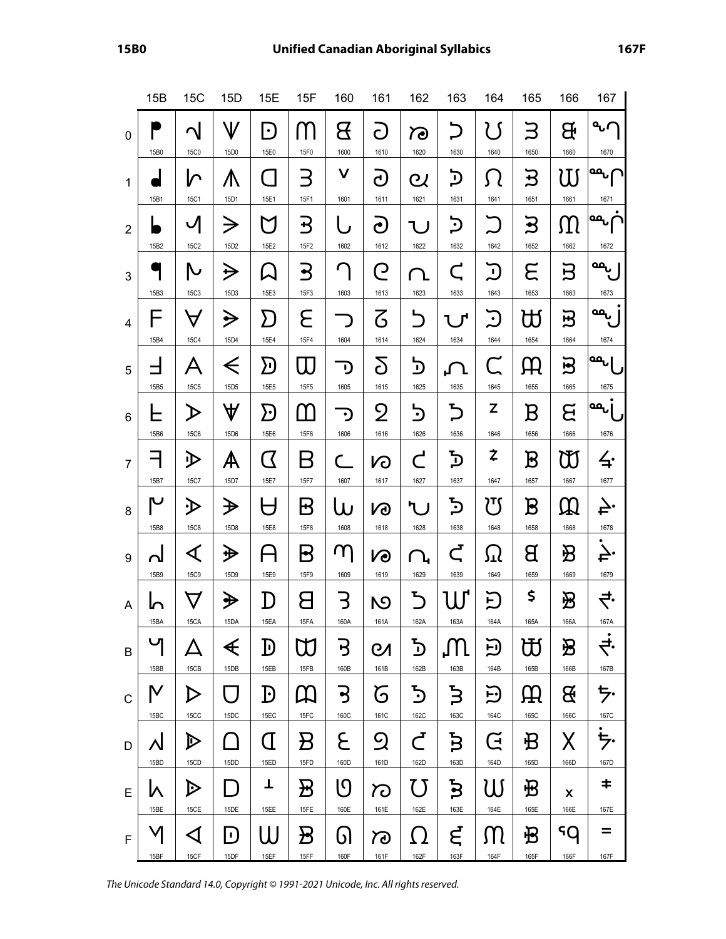|                | 15B               | 15C                                  | 15D                                                                 | 15E                                        | 15F                                | 160                | 161                 | 162                        | 163                  | 164                    | 165                               | 166                                                                                                                                                          | 167                     |
|----------------|-------------------|--------------------------------------|---------------------------------------------------------------------|--------------------------------------------|------------------------------------|--------------------|---------------------|----------------------------|----------------------|------------------------|-----------------------------------|--------------------------------------------------------------------------------------------------------------------------------------------------------------|-------------------------|
| $\mathbf 0$    | 15B0              | ↷<br><b>15C0</b>                     | V<br>15D0                                                           | $\left\lfloor \cdot \right\rfloor$<br>15E0 | $\blacksquare$<br>15F0             | В<br>1600          | $\mathsf C$<br>1610 | ಗೌ<br>1620                 | 1630                 | 1640                   | 1650                              | Æ<br>1660                                                                                                                                                    | a<br>1670               |
| $\mathbf{1}$   | 15B1              | い<br>15C1                            | ⋀<br>15D1                                                           | 15E1                                       | 3<br>15F1                          | V<br>1601          | <u>උ</u><br>1611    | ${\bf c}$<br>1621          | כֿ<br>1631           | 1641                   | ヺ<br>1651                         | W<br>1661                                                                                                                                                    | <mark>مم</mark><br>1671 |
| $\overline{2}$ | 15B2              | ✓<br>15C <sub>2</sub>                | →<br>15D2                                                           | 15E2                                       | ヹ<br>15F2                          | 1602               | ට<br>1612           | 1622                       | כֿ<br>1632           | 1642                   | ႕<br>1652                         | IJΙ<br>1662                                                                                                                                                  | مه<br>1672              |
| 3              | 15B3              | N<br>15C3                            | ⇛<br>15D3                                                           | 15E3                                       | ⊰<br>15F3                          | 1603               | Q<br>1613           | 1623                       | $\mathsf C$<br>1633  | $\blacksquare$<br>1643 | Е<br>1653                         | $\mathbf{B}$<br>1663                                                                                                                                         | مم<br>1673              |
| $\overline{4}$ | -<br>15B4         | $\Delta$<br><b>15C4</b>              | ⋟<br>15D4                                                           | $\bm{\Sigma}$<br>15E4                      | Е<br>15F4                          | 1604               | <u>て</u><br>1614    | 5<br>1624                  | 1634                 | <u>ل</u><br>1644       | ₩<br>1654                         | 쁘<br>1664                                                                                                                                                    | مم<br>1674              |
| 5              | 15B5              | А<br><b>15C5</b>                     | $\Leftarrow$<br>15D <sub>5</sub>                                    | $\Sigma$<br>15E5                           | 15F5                               | D<br>1605          | δ<br>1615           | כ<br>1625                  | ╻╲<br>1635           | $\mathsf C$<br>1645    | HЧ<br>1655                        | $\mathbf{E}$<br>1665                                                                                                                                         | مم <sub>ں</sub><br>1675 |
| 6              | 15B6              | $\blacktriangleright$<br><b>15C6</b> | $\bf \Psi$<br>15D6                                                  | <u>}</u><br>15E6                           | 15F6                               | D<br>1606          | Ջ<br>1616           | <u>ن</u><br>1626           | ら<br>1636            | Z<br>1646              | Β<br>1656                         | ຮ<br>1666                                                                                                                                                    | ممي<br>1676             |
| $\overline{7}$ | 15B7              | 少<br>15C7                            | A<br>15D7                                                           | $\bm{\mathcal{Q}}$<br>15E7                 | B<br>15F7                          | 1607               | <b>N</b><br>1617    | $\mathsf C$<br>1627        | ፟፟፟፟፟፟፟፟፟<br>1637    | Ż<br>1647              | B<br>1657                         | $\mathfrak{W}% _{T}=\mathfrak{W}_{T}\!\left( a,b\right) ,\ \mathfrak{W}_{T}=C_{T}\!\left( a,b\right) ,\ \mathfrak{W}_{T}=C_{T}\!\left( a,b\right) ,$<br>1667 | 4։<br>1677              |
| 8              | 15B8              | ∙D<br><b>15C8</b>                    | ₩<br>15D8                                                           | 15E8                                       | Β<br>15F8                          | W<br>1608          | <b>N</b><br>1618    | ካ.<br>1628                 | $\mathbf{c}$<br>1638 | זין<br>1648            | $\boldsymbol{\mathrm{B}}$<br>1658 | $\mathfrak{W}% _{T}=\mathfrak{W}_{T}\!\left( a,b\right) ,\ \mathfrak{W}_{T}=C_{T}\!\left( a,b\right) , \label{W2}%$<br>1668                                  | Ļ٠<br>1678              |
| 9              | 15B9              | ◁<br><b>15C9</b>                     | ₩<br>15D9                                                           | 15E9                                       | B<br>15F9                          | 71<br>1609         | VO<br>1619          | 1629                       | $\mathsf{C}$<br>1639 | ≀יז<br>1649            | В<br>1659                         | B<br>1669                                                                                                                                                    | ÷.<br>1679              |
| $\overline{A}$ | 15BA              | 15CA                                 | 少<br>15DA                                                           | D<br>15EA                                  | 15FA                               | っ<br>160A          | N<br>161A           | Ъ<br>162A                  | 163A                 | н,<br>164A             | \$<br>165A                        | B<br>166A                                                                                                                                                    | ₹.<br>167A              |
| B              | 15BB              | 15CB                                 | €<br>15DB                                                           | D<br>15EB                                  | M<br>15FB                          | ゥ<br>160B          | CЛ<br>161B          | <u>ל</u><br>162B           | 163B                 | ロ<br>164B              | 币<br>165B                         | B<br>166B                                                                                                                                                    | ₹.<br>167B              |
| $\mathsf{C}$   | M<br>15BC         | ▷<br>15CC                            | 15DC                                                                | Đ<br>15EC                                  | $\bm{\mu}$<br>15FC                 | ჭ<br>160C          | G<br>161C           | ら<br>162C                  | ξ<br>163C            | ⊦•<br>164C             | Щ<br>165C                         | B<br>166C                                                                                                                                                    | ち・<br>167C              |
| D              | Λl                | $\mathbb{D}$                         | $\Box$                                                              | Œ                                          | $\bm B$                            | ٤                  | <u>၅</u>            | Ċ                          | Ъ                    | Ğ                      | 圯                                 | X                                                                                                                                                            | ち・                      |
| E              | 15BD<br>١٨        | 15CD<br>▷                            | 15DD                                                                | 15ED<br>T                                  | 15FD<br>$\bm{\mathcal{B}}$         | 160D<br> ႟         | 161D<br>ಗಾ          | 162D<br>7 ]                | 163D<br>$\mathbf{5}$ | 164D<br>11             | 165D<br>毌                         | 166D<br>X                                                                                                                                                    | 167D<br>$\ddagger$      |
| F              | 15BE<br>M<br>15BF | 15CE<br>◁<br>15CF                    | 15DE<br>$\vert \hspace{.04cm} \cdot \hspace{.04cm} \rangle$<br>15DF | 15EE<br>Н<br>15EF                          | 15FE<br>$\bm{\mathcal{B}}$<br>15FF | 160E<br>61<br>160F | 161E<br>ಗಾ<br>161F  | 162E<br><u>( )</u><br>162F | 163E<br>ξ<br>163F    | 164E<br>ſΠ<br>164F     | 165E<br>圯<br>165F                 | 166E<br>5Q<br>166F                                                                                                                                           | 167E<br>=<br>167F       |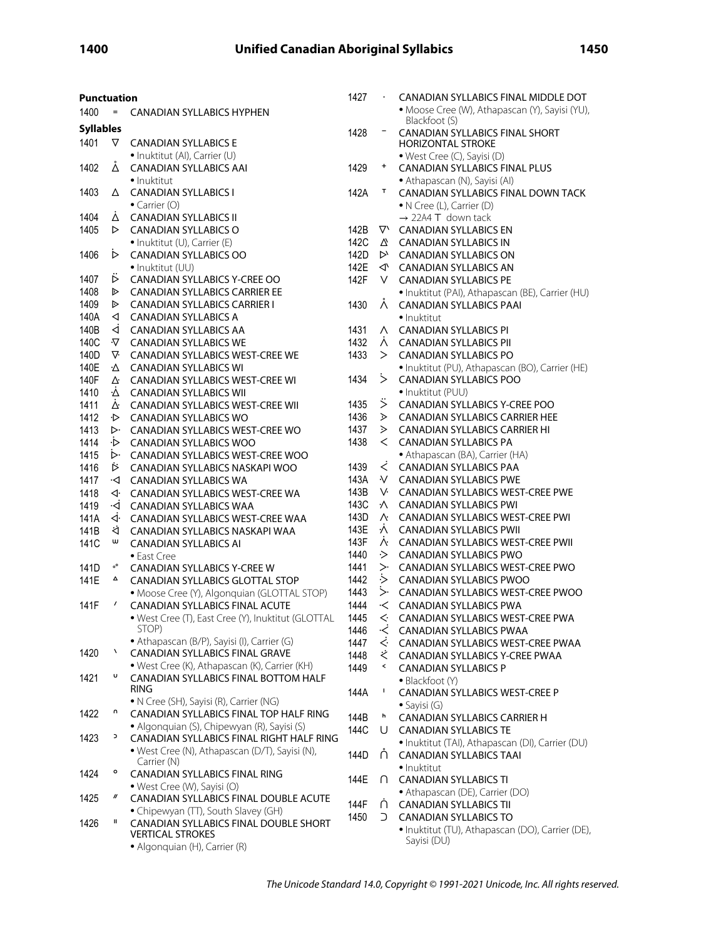| <b>Punctuation</b> |                |                                                                               | 1427 |               | CANADIAN SYLLABICS FINAL MIDDLE DOT                             |
|--------------------|----------------|-------------------------------------------------------------------------------|------|---------------|-----------------------------------------------------------------|
| 1400               | $=$            | <b>CANADIAN SYLLABICS HYPHEN</b>                                              |      |               | · Moose Cree (W), Athapascan (Y), Sayisi (YU),<br>Blackfoot (S) |
| <b>Syllables</b>   |                |                                                                               | 1428 |               | CANADIAN SYLLABICS FINAL SHORT                                  |
| 1401               | ▽              | <b>CANADIAN SYLLABICS E</b>                                                   |      |               | <b>HORIZONTAL STROKE</b>                                        |
|                    |                | · Inuktitut (AI), Carrier (U)                                                 |      |               | · West Cree (C), Sayisi (D)                                     |
| 1402               | Á              | <b>CANADIAN SYLLABICS AAI</b>                                                 | 1429 | $\ddagger$    | <b>CANADIAN SYLLABICS FINAL PLUS</b>                            |
|                    |                | • Inuktitut                                                                   |      |               | • Athapascan (N), Sayisi (AI)                                   |
| 1403               | Δ              | <b>CANADIAN SYLLABICS I</b>                                                   | 142A | т             | CANADIAN SYLLABICS FINAL DOWN TACK                              |
|                    |                | $\bullet$ Carrier (O)                                                         |      |               | • N Cree (L), Carrier (D)                                       |
| 1404               | À              | <b>CANADIAN SYLLABICS II</b>                                                  |      |               | $\rightarrow$ 22A4 T down tack                                  |
| 1405               | D              | <b>CANADIAN SYLLABICS O</b>                                                   | 142B |               | V CANADIAN SYLLABICS EN                                         |
|                    |                | • Inuktitut (U), Carrier (E)                                                  | 142C | △             | <b>CANADIAN SYLLABICS IN</b>                                    |
| 1406               | ▷              | <b>CANADIAN SYLLABICS OO</b>                                                  | 142D |               | $\triangleright$ CANADIAN SYLLABICS ON                          |
|                    |                | • Inuktitut (UU)                                                              | 142E |               | √ CANADIAN SYLLABICS AN                                         |
| 1407               | ▷              | CANADIAN SYLLABICS Y-CREE OO                                                  | 142F | V.            | <b>CANADIAN SYLLABICS PE</b>                                    |
| 1408<br>1409       | ▷              | <b>CANADIAN SYLLABICS CARRIER EE</b>                                          |      |               | · Inuktitut (PAI), Athapascan (BE), Carrier (HU)                |
| 140A               | ▷<br>◁         | <b>CANADIAN SYLLABICS CARRIER I</b><br><b>CANADIAN SYLLABICS A</b>            | 1430 |               | A CANADIAN SYLLABICS PAAI                                       |
| 140B               | ◁              | <b>CANADIAN SYLLABICS AA</b>                                                  | 1431 | Λ.            | · Inuktitut                                                     |
| 140C               | ∿              | <b>CANADIAN SYLLABICS WE</b>                                                  | 1432 | Λ.            | <b>CANADIAN SYLLABICS PI</b><br><b>CANADIAN SYLLABICS PII</b>   |
| 140D               | V.             | <b>CANADIAN SYLLABICS WEST-CREE WE</b>                                        | 1433 | >             | <b>CANADIAN SYLLABICS PO</b>                                    |
| 140E               | Δ              | <b>CANADIAN SYLLABICS WI</b>                                                  |      |               | · Inuktitut (PU), Athapascan (BO), Carrier (HE)                 |
| 140F               | ∆              | <b>CANADIAN SYLLABICS WEST-CREE WI</b>                                        | 1434 | $\dot{ }$     | <b>CANADIAN SYLLABICS POO</b>                                   |
| 1410               | Δ              | <b>CANADIAN SYLLABICS WII</b>                                                 |      |               | • Inuktitut (PUU)                                               |
| 1411               | Δ٠             | <b>CANADIAN SYLLABICS WEST-CREE WII</b>                                       | 1435 | ジ             | CANADIAN SYLLABICS Y-CREE POO                                   |
| 1412               | ·⊳             | <b>CANADIAN SYLLABICS WO</b>                                                  | 1436 |               | $\triangleright$ CANADIAN SYLLABICS CARRIER HEE                 |
| 1413               | ▷              | <b>CANADIAN SYLLABICS WEST-CREE WO</b>                                        | 1437 | ⋗             | <b>CANADIAN SYLLABICS CARRIER HI</b>                            |
| 1414               | ∙⊳             | <b>CANADIAN SYLLABICS WOO</b>                                                 | 1438 | $\lt$         | <b>CANADIAN SYLLABICS PA</b>                                    |
| 1415               | ⊳∙             | CANADIAN SYLLABICS WEST-CREE WOO                                              |      |               | • Athapascan (BA), Carrier (HA)                                 |
| 1416               | ₿              | CANADIAN SYLLABICS NASKAPI WOO                                                | 1439 | ₹             | <b>CANADIAN SYLLABICS PAA</b>                                   |
| 1417               | ∙⊲             | <b>CANADIAN SYLLABICS WA</b>                                                  | 143A | ∿ ∖           | <b>CANADIAN SYLLABICS PWE</b>                                   |
| 1418               | ◁              | <b>CANADIAN SYLLABICS WEST-CREE WA</b>                                        | 143B |               | V CANADIAN SYLLABICS WEST-CREE PWE                              |
| 1419               | ∙⊲             | <b>CANADIAN SYLLABICS WAA</b>                                                 | 143C | ∧             | <b>CANADIAN SYLLABICS PWI</b>                                   |
| 141A               | ₫.             | CANADIAN SYLLABICS WEST-CREE WAA                                              | 143D |               | A CANADIAN SYLLABICS WEST-CREE PWI                              |
| 141B               | ধ              | CANADIAN SYLLABICS NASKAPI WAA                                                | 143E | ∧             | <b>CANADIAN SYLLABICS PWII</b>                                  |
| 141C               | w              | <b>CANADIAN SYLLABICS AI</b>                                                  | 143F | ∧             | <b>CANADIAN SYLLABICS WEST-CREE PWII</b>                        |
|                    |                | • East Cree                                                                   | 1440 | ≻             | <b>CANADIAN SYLLABICS PWO</b>                                   |
| 141D               | $\circ^\circ$  | <b>CANADIAN SYLLABICS Y-CREE W</b>                                            | 1441 | $\mathord{>}$ | CANADIAN SYLLABICS WEST-CREE PWO                                |
| 141E               | Δ              | CANADIAN SYLLABICS GLOTTAL STOP                                               | 1442 |               | $\geq$ CANADIAN SYLLABICS PWOO                                  |
|                    |                | • Moose Cree (Y), Algonquian (GLOTTAL STOP)                                   | 1443 | $>$ .         | CANADIAN SYLLABICS WEST-CREE PWOO                               |
| 141F               | $\prime$       | CANADIAN SYLLABICS FINAL ACUTE                                                | 1444 |               | < CANADIAN SYLLABICS PWA                                        |
|                    |                | · West Cree (T), East Cree (Y), Inuktitut (GLOTTAL                            | 1445 | $\leftarrow$  | <b>CANADIAN SYLLABICS WEST-CREE PWA</b>                         |
|                    |                | STOP)                                                                         | 1446 |               | √ CANADIAN SYLLABICS PWAA                                       |
| 1420               | x              | · Athapascan (B/P), Sayisi (I), Carrier (G)<br>CANADIAN SYLLABICS FINAL GRAVE | 1447 | $\leftarrow$  | CANADIAN SYLLABICS WEST-CREE PWAA                               |
|                    |                | · West Cree (K), Athapascan (K), Carrier (KH)                                 | 1448 | ぐ<br>≺        | CANADIAN SYLLABICS Y-CREE PWAA                                  |
| 1421               | U              | CANADIAN SYLLABICS FINAL BOTTOM HALF                                          | 1449 |               | <b>CANADIAN SYLLABICS P</b>                                     |
|                    |                | <b>RING</b>                                                                   | 144A | L             | • Blackfoot (Y)                                                 |
|                    |                | • N Cree (SH), Sayisi (R), Carrier (NG)                                       |      |               | CANADIAN SYLLABICS WEST-CREE P<br>$\bullet$ Sayisi (G)          |
| 1422               | n              | CANADIAN SYLLABICS FINAL TOP HALF RING                                        | 144B | h             | CANADIAN SYLLABICS CARRIER H                                    |
|                    |                | · Algonquian (S), Chipewyan (R), Sayisi (S)                                   | 144C | U             | <b>CANADIAN SYLLABICS TE</b>                                    |
| 1423               | э              | CANADIAN SYLLABICS FINAL RIGHT HALF RING                                      |      |               | · Inuktitut (TAI), Athapascan (DI), Carrier (DU)                |
|                    |                | • West Cree (N), Athapascan (D/T), Sayisi (N),                                | 144D | ∩             | <b>CANADIAN SYLLABICS TAAI</b>                                  |
|                    |                | Carrier (N)                                                                   |      |               | · Inuktitut                                                     |
| 1424               | ۰              | CANADIAN SYLLABICS FINAL RING                                                 | 144E | ∩             | <b>CANADIAN SYLLABICS TI</b>                                    |
|                    |                | • West Cree (W), Sayisi (O)                                                   |      |               | • Athapascan (DE), Carrier (DO)                                 |
| 1425               | $\prime\prime$ | CANADIAN SYLLABICS FINAL DOUBLE ACUTE                                         | 144F | ∩             | <b>CANADIAN SYLLABICS TII</b>                                   |
|                    | Ш              | • Chipewyan (TT), South Slavey (GH)                                           | 1450 | C.            | <b>CANADIAN SYLLABICS TO</b>                                    |
| 1426               |                | CANADIAN SYLLABICS FINAL DOUBLE SHORT<br><b>VERTICAL STROKES</b>              |      |               | · Inuktitut (TU), Athapascan (DO), Carrier (DE),                |
|                    |                | • Algonquian (H), Carrier (R)                                                 |      |               | Sayisi (DU)                                                     |
|                    |                |                                                                               |      |               |                                                                 |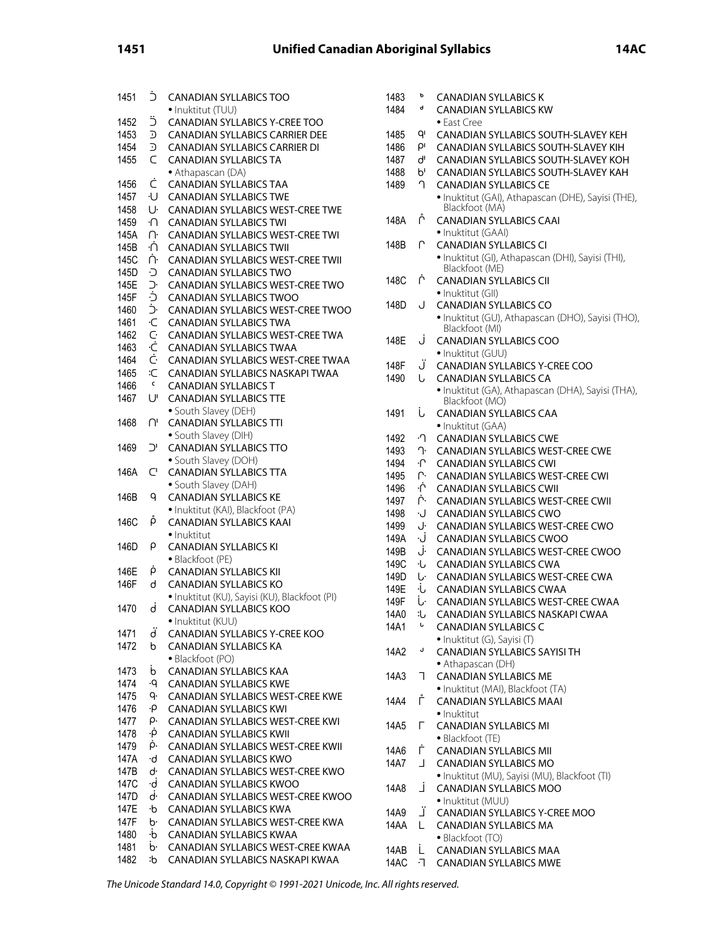| 1451 | Ċ         | <b>CANADIAN SYLLABICS TOO</b>                                      | 1483 | ь            | <b>CANADIAN SYLLABICS K</b>      |
|------|-----------|--------------------------------------------------------------------|------|--------------|----------------------------------|
|      |           | · Inuktitut (TUU)                                                  | 1484 | d            | <b>CANADIAN SYLLABICS KW</b>     |
| 1452 | Ë         | CANADIAN SYLLABICS Y-CREE TOO                                      |      |              | • East Cree                      |
| 1453 | D         | CANADIAN SYLLABICS CARRIER DEE                                     | 1485 | qı           | <b>CANADIAN SYLLABICS SOUT</b>   |
| 1454 | $\supset$ | <b>CANADIAN SYLLABICS CARRIER DI</b>                               | 1486 | $\rho_1$     | <b>CANADIAN SYLLABICS SOUT</b>   |
| 1455 | C         | <b>CANADIAN SYLLABICS TA</b>                                       | 1487 | ď            | <b>CANADIAN SYLLABICS SOUT</b>   |
|      |           | • Athapascan (DA)                                                  | 1488 | p,           | <b>CANADIAN SYLLABICS SOUT</b>   |
| 1456 | Ċ         | <b>CANADIAN SYLLABICS TAA</b>                                      | 1489 | ∩            | <b>CANADIAN SYLLABICS CE</b>     |
| 1457 | ٠U        | <b>CANADIAN SYLLABICS TWE</b>                                      |      |              | · Inuktitut (GAI), Athapascan (  |
| 1458 | U·        | <b>CANADIAN SYLLABICS WEST-CREE TWE</b>                            |      |              | Blackfoot (MA)                   |
| 1459 | ٠N        | <b>CANADIAN SYLLABICS TWI</b>                                      | 148A | ř            | <b>CANADIAN SYLLABICS CAAI</b>   |
| 145A | ∩∙        | CANADIAN SYLLABICS WEST-CREE TWI                                   |      |              | · Inuktitut (GAAI)               |
| 145B | ٠Ń        | <b>CANADIAN SYLLABICS TWII</b>                                     | 148B | ∩            | <b>CANADIAN SYLLABICS CI</b>     |
| 145C | ή٠        | <b>CANADIAN SYLLABICS WEST-CREE TWII</b>                           |      |              | · Inuktitut (GI), Athapascan (D  |
| 145D | Ð         | <b>CANADIAN SYLLABICS TWO</b>                                      |      |              | Blackfoot (ME)                   |
| 145E | J.        | CANADIAN SYLLABICS WEST-CREE TWO                                   | 148C | Ļ            | <b>CANADIAN SYLLABICS CII</b>    |
| 145F | Ċ         | <b>CANADIAN SYLLABICS TWOO</b>                                     |      |              | · Inuktitut (GII)                |
| 1460 | Ċ.        | CANADIAN SYLLABICS WEST-CREE TWOO                                  | 148D | J            | <b>CANADIAN SYLLABICS CO</b>     |
| 1461 | ٠C        | <b>CANADIAN SYLLABICS TWA</b>                                      |      |              | · Inuktitut (GU), Athapascan (I  |
| 1462 | Ċ         | CANADIAN SYLLABICS WEST-CREE TWA                                   |      |              | Blackfoot (MI)                   |
| 1463 | ۰Ċ        | <b>CANADIAN SYLLABICS TWAA</b>                                     | 148E | Ĵ            | CANADIAN SYLLABICS COO           |
| 1464 | Ċ         | CANADIAN SYLLABICS WEST-CREE TWAA                                  |      |              | · Inuktitut (GUU)                |
| 1465 | :С        | CANADIAN SYLLABICS NASKAPI TWAA                                    | 148F | Ü            | <b>CANADIAN SYLLABICS Y-CRE</b>  |
| 1466 | c         | <b>CANADIAN SYLLABICS T</b>                                        | 1490 | U            | <b>CANADIAN SYLLABICS CA</b>     |
| 1467 | U'        | <b>CANADIAN SYLLABICS TTE</b>                                      |      |              | · Inuktitut (GA), Athapascan (I  |
|      |           | · South Slavey (DEH)                                               |      |              | Blackfoot (MO)                   |
| 1468 | יח        | <b>CANADIAN SYLLABICS TTI</b>                                      | 1491 | j,           | <b>CANADIAN SYLLABICS CAA</b>    |
|      |           | • South Slavey (DIH)                                               |      |              | · Inuktitut (GAA)                |
| 1469 | יכ        | <b>CANADIAN SYLLABICS TTO</b>                                      | 1492 | ۰ባ           | <b>CANADIAN SYLLABICS CWE</b>    |
|      |           | · South Slavey (DOH)                                               | 1493 | ጉ·           | <b>CANADIAN SYLLABICS WEST</b>   |
| 146A | C         | <b>CANADIAN SYLLABICS TTA</b>                                      | 1494 | $\cdot \cap$ | <b>CANADIAN SYLLABICS CWI</b>    |
|      |           | · South Slavey (DAH)                                               | 1495 | ∩∙           | <b>CANADIAN SYLLABICS WEST</b>   |
| 146B | q         | <b>CANADIAN SYLLABICS KE</b>                                       | 1496 | ۰ή۰          | <b>CANADIAN SYLLABICS CWII</b>   |
|      |           | · Inuktitut (KAI), Blackfoot (PA)                                  | 1497 | ŕ۰           | <b>CANADIAN SYLLABICS WEST</b>   |
| 146C | p         | <b>CANADIAN SYLLABICS KAAI</b>                                     | 1498 | ٠J           | CANADIAN SYLLABICS CWO           |
|      |           | · Inuktitut                                                        | 1499 | J٠           | <b>CANADIAN SYLLABICS WEST</b>   |
| 146D | ρ         | <b>CANADIAN SYLLABICS KI</b>                                       | 149A | ۰J           | <b>CANADIAN SYLLABICS CWO</b>    |
|      |           | · Blackfoot (PE)                                                   | 149B | J٠           | <b>CANADIAN SYLLABICS WEST</b>   |
| 146E | p         | <b>CANADIAN SYLLABICS KII</b>                                      | 149C | ۰U           | <b>CANADIAN SYLLABICS CWA</b>    |
| 146F | d         | <b>CANADIAN SYLLABICS KO</b>                                       | 149D | ŀن           | <b>CANADIAN SYLLABICS WEST</b>   |
|      |           | · Inuktitut (KU), Sayisi (KU), Blackfoot (PI)                      | 149E | ٠Ù           | <b>CANADIAN SYLLABICS CWA</b>    |
| 1470 | d         | <b>CANADIAN SYLLABICS KOO</b>                                      | 149F | Ū٠           | <b>CANADIAN SYLLABICS WEST</b>   |
|      |           | $\bullet$ Inuktitut (KUU)                                          | 14A0 | :ს           | <b>CANADIAN SYLLABICS NASK</b>   |
| 1471 | ď         | CANADIAN SYLLABICS Y-CREE KOO                                      | 14A1 | ı            | <b>CANADIAN SYLLABICS C</b>      |
| 1472 | b         | CANADIAN SYLLABICS KA                                              |      |              | · Inuktitut (G), Sayisi (T)      |
|      |           | · Blackfoot (PO)                                                   | 14A2 | J            | <b>CANADIAN SYLLABICS SAYIS</b>  |
| 1473 | b         | CANADIAN SYLLABICS KAA                                             |      |              | • Athapascan (DH)                |
| 1474 | ۰q        | <b>CANADIAN SYLLABICS KWE</b>                                      | 14A3 | ٦            | CANADIAN SYLLABICS ME            |
| 1475 | ٩٠        | CANADIAN SYLLABICS WEST-CREE KWE                                   |      |              | · Inuktitut (MAI), Blackfoot (TA |
| 1476 | ۰P        |                                                                    | 14A4 | Ļ            | <b>CANADIAN SYLLABICS MAAI</b>   |
| 1477 | ρ.        | <b>CANADIAN SYLLABICS KWI</b>                                      |      |              | · Inuktitut                      |
| 1478 | ۰p        | CANADIAN SYLLABICS WEST-CREE KWI<br><b>CANADIAN SYLLABICS KWII</b> | 14A5 | г            | <b>CANADIAN SYLLABICS MI</b>     |
|      | p٠        | <b>CANADIAN SYLLABICS WEST-CREE KWII</b>                           |      |              | · Blackfoot (TE)                 |
| 1479 |           |                                                                    | 14A6 | Ė.           | <b>CANADIAN SYLLABICS MII</b>    |
| 147A | ٠d        | <b>CANADIAN SYLLABICS KWO</b>                                      | 14A7 | $\perp$      | <b>CANADIAN SYLLABICS MO</b>     |
| 147B | ď         | CANADIAN SYLLABICS WEST-CREE KWO                                   |      |              | · Inuktitut (MU), Sayisi (MU), B |
| 147C | ٠d        | CANADIAN SYLLABICS KWOO                                            | 14A8 | Г            | <b>CANADIAN SYLLABICS MOO</b>    |
| 147D | ď         | CANADIAN SYLLABICS WEST-CREE KWOO                                  |      |              | · Inuktitut (MUU)                |
| 147E | ۰b        | <b>CANADIAN SYLLABICS KWA</b>                                      | 14A9 | Ϊ.           | <b>CANADIAN SYLLABICS Y-CRE</b>  |
| 147F | b٠        | CANADIAN SYLLABICS WEST-CREE KWA                                   | 14AA | L.           | <b>CANADIAN SYLLABICS MA</b>     |
| 1480 | ۰b        | CANADIAN SYLLABICS KWAA                                            |      |              | · Blackfoot (TO)                 |
| 1481 | b٠        | CANADIAN SYLLABICS WEST-CREE KWAA                                  | 14AB | L            | CANADIAN SYLLABICS MAA           |
| 1482 | :ხ        | CANADIAN SYLLABICS NASKAPI KWAA                                    | 14AC | $\cdot$      | <b>CANADIAN SYLLABICS MWE</b>    |

| 1483 | b  | <b>CANADIAN SYLLABICS K</b>                        |
|------|----|----------------------------------------------------|
| 1484 | d  | <b>CANADIAN SYLLABICS KW</b>                       |
|      |    | • East Cree                                        |
| 1485 | ٩ı | CANADIAN SYLLABICS SOUTH-SLAVEY KEH                |
| 1486 | ρι | CANADIAN SYLLABICS SOUTH-SLAVEY KIH                |
| 1487 | ď  | CANADIAN SYLLABICS SOUTH-SLAVEY KOH                |
| 1488 | Pı | CANADIAN SYLLABICS SOUTH-SLAVEY KAH                |
| 1489 | ባ  | <b>CANADIAN SYLLABICS CE</b>                       |
|      |    | · Inuktitut (GAI), Athapascan (DHE), Sayisi (THE), |
|      |    | Blackfoot (MA)                                     |
| 148A | Ļ  | <b>CANADIAN SYLLABICS CAAI</b>                     |
|      |    | · Inuktitut (GAAI)                                 |
| 148B | ∩  | <b>CANADIAN SYLLABICS CI</b>                       |
|      |    | · Inuktitut (GI), Athapascan (DHI), Sayisi (THI),  |
|      |    | Blackfoot (ME)                                     |
| 148C | Ļ  | <b>CANADIAN SYLLABICS CII</b>                      |
|      |    | • Inuktitut (GII)                                  |
| 148D | J  | <b>CANADIAN SYLLABICS CO</b>                       |
|      |    | · Inuktitut (GU), Athapascan (DHO), Sayisi (THO),  |
|      |    | Blackfoot (MI)                                     |
| 148E | j  | <b>CANADIAN SYLLABICS COO</b>                      |
|      |    | · Inuktitut (GUU)                                  |
| 148F | Ĵ  | CANADIAN SYLLABICS Y-CREE COO                      |
| 1490 | U  | <b>CANADIAN SYLLABICS CA</b>                       |
|      |    | · Inuktitut (GA), Athapascan (DHA), Sayisi (THA),  |
|      |    | Blackfoot (MO)                                     |
| 1491 | j  | <b>CANADIAN SYLLABICS CAA</b>                      |
|      |    | · Inuktitut (GAA)                                  |
| 1492 | ۰٦ | <b>CANADIAN SYLLABICS CWE</b>                      |
| 1493 | ጉ  | CANADIAN SYLLABICS WEST-CREE CWE                   |
| 1494 | ۰Ր | <b>CANADIAN SYLLABICS CWI</b>                      |
| 1495 | Ր․ | CANADIAN SYLLABICS WEST-CREE CWI                   |
| 1496 | ۰Ċ | <b>CANADIAN SYLLABICS CWII</b>                     |
| 1497 | Ċ۰ | <b>CANADIAN SYLLABICS WEST-CREE CWII</b>           |
| 1498 | ٠J | <b>CANADIAN SYLLABICS CWO</b>                      |
| 1499 | J٠ | CANADIAN SYLLABICS WEST-CREE CWO                   |
| 149A | ۰J | <b>CANADIAN SYLLABICS CWOO</b>                     |
| 149B | J٠ | CANADIAN SYLLABICS WEST-CREE CWOO                  |
| 149C | ۰U | <b>CANADIAN SYLLABICS CWA</b>                      |
| 149D | Ŀ۰ | CANADIAN SYLLABICS WEST-CREE CWA                   |
| 149E | ٠Ĺ | <b>CANADIAN SYLLABICS CWAA</b>                     |
| 149F | Ū٠ | CANADIAN SYLLABICS WEST-CREE CWAA                  |
| 14A0 | :ل | CANADIAN SYLLABICS NASKAPI CWAA                    |
| 14A1 | U  | <b>CANADIAN SYLLABICS C</b>                        |
|      | J  | · Inuktitut (G), Sayisi (T)                        |
| 14A2 |    | CANADIAN SYLLABICS SAYISI TH                       |
|      |    | • Athapascan (DH)                                  |
| 14A3 | ٦  | <b>CANADIAN SYLLABICS ME</b>                       |
|      | Ļ  | · Inuktitut (MAI), Blackfoot (TA)                  |
| 14A4 |    | <b>CANADIAN SYLLABICS MAAI</b>                     |
| 14A5 | г  | $\bullet$ Inuktitut                                |
|      |    | <b>CANADIAN SYLLABICS MI</b>                       |
| 14A6 | È  | · Blackfoot (TE)<br><b>CANADIAN SYLLABICS MII</b>  |
| 14A7 | ┚  | <b>CANADIAN SYLLABICS MO</b>                       |
|      |    | · Inuktitut (MU), Sayisi (MU), Blackfoot (TI)      |
| 14A8 | Ĺ  | <b>CANADIAN SYLLABICS MOO</b>                      |
|      |    | · Inuktitut (MUU)                                  |
| 14A9 | ï  | CANADIAN SYLLABICS Y-CREE MOO                      |
| 14AA | L  | <b>CANADIAN SYLLABICS MA</b>                       |
|      |    | · Blackfoot (TO)                                   |
| 14AB | L  | CANADIAN SYLLABICS MAA                             |
|      |    |                                                    |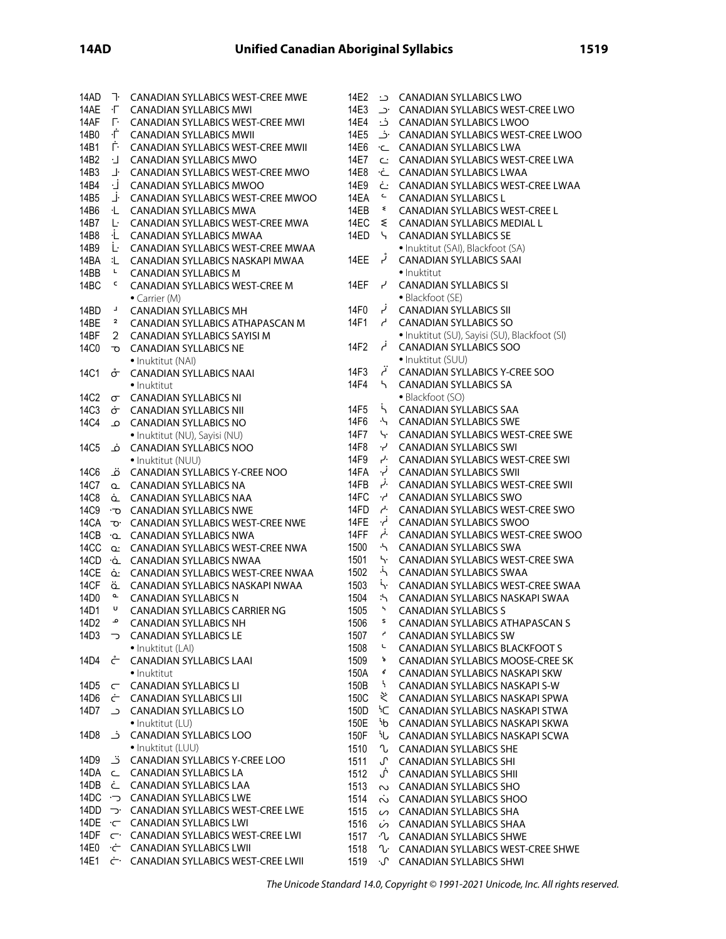| 14AD                   | T.             | <b>CANADIAN SYLLABICS WEST-CREE MWE</b>    | 14E2 |                             | CANADIAN SYLLABICS LWO                                                      |
|------------------------|----------------|--------------------------------------------|------|-----------------------------|-----------------------------------------------------------------------------|
| 14AE                   | ÷Г.            | <b>CANADIAN SYLLABICS MWI</b>              | 14E3 |                             | CANADIAN SYLLABICS WEST-CREE LWO . د                                        |
| 14AF                   | Г÷.            | <b>CANADIAN SYLLABICS WEST-CREE MWI</b>    | 14E4 | ـ خـ                        | <b>CANADIAN SYLLABICS LWOO</b>                                              |
| 14B0                   | ÷Ė.            | <b>CANADIAN SYLLABICS MWII</b>             | 14E5 |                             | CANADIAN SYLLABICS WEST-CREE LWOO                                           |
| 14B1                   | Ė.             | <b>CANADIAN SYLLABICS WEST-CREE MWII</b>   | 14E6 | ے∙                          | <b>CANADIAN SYLLABICS LWA</b>                                               |
| 14B2                   | ٠J             | <b>CANADIAN SYLLABICS MWO</b>              | 14E7 |                             | C: CANADIAN SYLLABICS WEST-CREE LWA                                         |
| 14B3                   | 」              | <b>CANADIAN SYLLABICS WEST-CREE MWO</b>    | 14E8 | ∙خ                          | <b>CANADIAN SYLLABICS LWAA</b>                                              |
| 14B4                   | ۰j             |                                            | 14E9 | ٺ                           |                                                                             |
| 14B5                   | _i⊢            | <b>CANADIAN SYLLABICS MWOO</b>             | 14EA | $\mathsf{C}$                | <b>CANADIAN SYLLABICS WEST-CREE LWAA</b>                                    |
|                        |                | CANADIAN SYLLABICS WEST-CREE MWOO          | 14EB | ₹                           | <b>CANADIAN SYLLABICS L</b>                                                 |
| 14B6                   | ۰L             | <b>CANADIAN SYLLABICS MWA</b>              |      |                             | <b>CANADIAN SYLLABICS WEST-CREE L</b><br><b>CANADIAN SYLLABICS MEDIAL L</b> |
| 14B7                   | Ŀ.             | CANADIAN SYLLABICS WEST-CREE MWA           | 14EC | ଽ                           |                                                                             |
| 14B8                   | ۰L.            | <b>CANADIAN SYLLABICS MWAA</b>             | 14ED | $\mathcal{L}_{\mathcal{L}}$ | <b>CANADIAN SYLLABICS SE</b>                                                |
| 14B9                   | Ŀ              | CANADIAN SYLLABICS WEST-CREE MWAA          |      | ڑ ہ                         | · Inuktitut (SAI), Blackfoot (SA)                                           |
| 14BA                   | 汇。<br>L.       | CANADIAN SYLLABICS NASKAPI MWAA            | 14EE |                             | <b>CANADIAN SYLLABICS SAAI</b>                                              |
| 14BB                   | c              | <b>CANADIAN SYLLABICS M</b>                |      |                             | • Inuktitut                                                                 |
| 14BC                   |                | <b>CANADIAN SYLLABICS WEST-CREE M</b>      | 14EF | لہ                          | <b>CANADIAN SYLLABICS SI</b>                                                |
|                        | ц              | • Carrier $(M)$                            | 14F0 | ا نم                        | · Blackfoot (SE)                                                            |
| 14BD                   | 2              | <b>CANADIAN SYLLABICS MH</b>               |      |                             | <b>CANADIAN SYLLABICS SII</b>                                               |
| 14BE                   |                | CANADIAN SYLLABICS ATHAPASCAN M            | 14F1 | $\overline{a}$              | <b>CANADIAN SYLLABICS SO</b>                                                |
| 14BF                   | $\overline{2}$ | CANADIAN SYLLABICS SAYISI M                |      | أم                          | · Inuktitut (SU), Sayisi (SU), Blackfoot (SI)                               |
| 14C0                   | ত              | <b>CANADIAN SYLLABICS NE</b>               | 14F2 |                             | <b>CANADIAN SYLLABICS SOO</b>                                               |
|                        |                | · Inuktitut (NAI)                          |      | آنم                         | • Inuktitut (SUU)                                                           |
| 14C1                   | σ÷             | <b>CANADIAN SYLLABICS NAAI</b>             | 14F3 |                             | CANADIAN SYLLABICS Y-CREE SOO                                               |
|                        |                | • Inuktitut                                | 14F4 | 5.                          | <b>CANADIAN SYLLABICS SA</b>                                                |
| <b>14C2</b>            | $\sigma$       | <b>CANADIAN SYLLABICS NI</b>               |      |                             | • Blackfoot (SO)                                                            |
| 14C3                   | ச்             | <b>CANADIAN SYLLABICS NII</b>              | 14F5 | $\mathcal{L}$               | <b>CANADIAN SYLLABICS SAA</b>                                               |
| 14C4                   | م              | <b>CANADIAN SYLLABICS NO</b>               | 14F6 | $\ddot{ }$                  | <b>CANADIAN SYLLABICS SWE</b>                                               |
|                        |                | · Inuktitut (NU), Sayisi (NU)              | 14F7 | Ч٠.                         | <b>CANADIAN SYLLABICS WEST-CREE SWE</b>                                     |
| 14C <sub>5</sub>       | ݥ              | <b>CANADIAN SYLLABICS NOO</b>              | 14F8 | ے ب                         | <b>CANADIAN SYLLABICS SWI</b>                                               |
|                        |                | • Inuktitut (NUU)                          | 14F9 | بر.                         | <b>CANADIAN SYLLABICS WEST-CREE SWI</b>                                     |
| 14C6                   | ق              | CANADIAN SYLLABICS Y-CREE NOO              | 14FA | نې.                         | <b>CANADIAN SYLLABICS SWII</b>                                              |
| 14C7                   | $\Omega$       | <b>CANADIAN SYLLABICS NA</b>               | 14FB | .ز<br>-                     | <b>CANADIAN SYLLABICS WEST-CREE SWII</b>                                    |
| <b>14C8</b>            | ݔ              | <b>CANADIAN SYLLABICS NAA</b>              | 14FC | $\cdot$                     | <b>CANADIAN SYLLABICS SWO</b>                                               |
| 14C9                   |                | <b>D</b> CANADIAN SYLLABICS NWE            | 14FD | $\overline{a}$              | CANADIAN SYLLABICS WEST-CREE SWO                                            |
| 14CA                   |                | TO CANADIAN SYLLABICS WEST-CREE NWE        | 14FE | ا نم.                       | <b>CANADIAN SYLLABICS SWOO</b>                                              |
| 14CB                   |                | <b>CANADIAN SYLLABICS NWA</b>              | 14FF | .نم                         | CANADIAN SYLLABICS WEST-CREE SWOO                                           |
| 14CC                   |                | Q: CANADIAN SYLLABICS WEST-CREE NWA        | 1500 | $\cdot$                     | <b>CANADIAN SYLLABICS SWA</b>                                               |
| 14CD                   |                | • CANADIAN SYLLABICS NWAA                  | 1501 | Ь.                          | <b>CANADIAN SYLLABICS WEST-CREE SWA</b>                                     |
| 14CE                   |                | ο CANADIAN SYLLABICS WEST-CREE NWAA        | 1502 | $\ddot{\gamma}$             | <b>CANADIAN SYLLABICS SWAA</b>                                              |
| 14CF                   | ä              | CANADIAN SYLLABICS NASKAPI NWAA            | 1503 | Ь.                          | <b>CANADIAN SYLLABICS WEST-CREE SWAA</b>                                    |
| 14D0                   | o.             | <b>CANADIAN SYLLABICS N</b>                | 1504 | :ኣ                          | CANADIAN SYLLABICS NASKAPI SWAA                                             |
| 14D1                   | U              | <b>CANADIAN SYLLABICS CARRIER NG</b>       | 1505 | 5                           | <b>CANADIAN SYLLABICS S</b>                                                 |
| 14D2                   | م              | <b>CANADIAN SYLLABICS NH</b>               | 1506 | s                           | CANADIAN SYLLABICS ATHAPASCAN S                                             |
| 14D3                   | ⊃              | <b>CANADIAN SYLLABICS LE</b>               | 1507 | م                           | <b>CANADIAN SYLLABICS SW</b>                                                |
|                        |                | · Inuktitut (LAI)                          | 1508 | L                           | <b>CANADIAN SYLLABICS BLACKFOOT S</b>                                       |
| 14D4                   | ᡲ              | <b>CANADIAN SYLLABICS LAAI</b>             | 1509 | đ                           | CANADIAN SYLLABICS MOOSE-CREE SK                                            |
|                        |                | · Inuktitut                                | 150A | ď                           | CANADIAN SYLLABICS NASKAPI SKW                                              |
| 14D5                   | $\subset$      | <b>CANADIAN SYLLABICS LI</b>               | 150B | ħ                           | CANADIAN SYLLABICS NASKAPI S-W                                              |
| 14D6                   | Ċ              | <b>CANADIAN SYLLABICS LII</b>              | 150C | ぞ                           | CANADIAN SYLLABICS NASKAPI SPWA                                             |
| 14D7                   | ۔ د            | <b>CANADIAN SYLLABICS LO</b>               | 150D |                             | <sup>5</sup> C CANADIAN SYLLABICS NASKAPI STWA                              |
|                        |                | • Inuktitut (LU)                           | 150E |                             | ib CANADIAN SYLLABICS NASKAPI SKWA                                          |
| 14D8                   | ـز_            | <b>CANADIAN SYLLABICS LOO</b>              | 150F | ىلأ                         | CANADIAN SYLLABICS NASKAPI SCWA                                             |
|                        |                | • Inuktitut (LUU)                          | 1510 | ∿                           | <b>CANADIAN SYLLABICS SHE</b>                                               |
| 14D9                   | ڌ              | CANADIAN SYLLABICS Y-CREE LOO              | 1511 | ሇ                           | <b>CANADIAN SYLLABICS SHI</b>                                               |
| 14DA                   | $\subset$      | <b>CANADIAN SYLLABICS LA</b>               | 1512 | لن                          | <b>CANADIAN SYLLABICS SHII</b>                                              |
| 14DB                   | ٺ              | <b>CANADIAN SYLLABICS LAA</b>              | 1513 |                             | $\sim$ CANADIAN SYLLABICS SHO                                               |
| ר 14DC                 |                | <b>CANADIAN SYLLABICS LWE</b>              | 1514 |                             | NO CANADIAN SYLLABICS SHOO                                                  |
| 14DD                   | ⊃.             | CANADIAN SYLLABICS WEST-CREE LWE           | 1515 |                             | $\circ$ CANADIAN SYLLABICS SHA                                              |
| 14DE $\cdot$ $\subset$ |                | <b>CANADIAN SYLLABICS LWI</b>              | 1516 |                             | is CANADIAN SYLLABICS SHAA                                                  |
| 14DF                   |                | $\subset$ CANADIAN SYLLABICS WEST-CREE LWI | 1517 |                             | · CANADIAN SYLLABICS SHWE                                                   |
| 14E0                   |                | CANADIAN SYLLABICS LWII                    | 1518 | ∿∙                          | <b>CANADIAN SYLLABICS WEST-CREE SHWE</b>                                    |
| 14E1                   |                | ¿ CANADIAN SYLLABICS WEST-CREE LWII        | 1519 | ·ሆ                          | <b>CANADIAN SYLLABICS SHWI</b>                                              |
|                        |                |                                            |      |                             |                                                                             |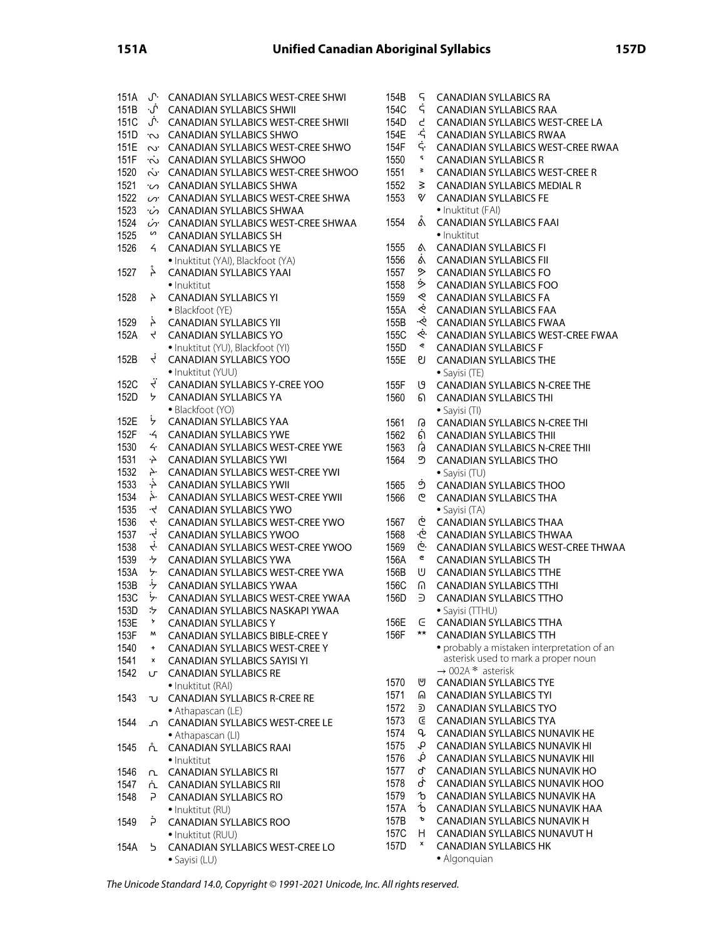| 151A | ሇ.                 | CANADIAN SYLLABICS WEST-CREE SHWI                    | 154        |
|------|--------------------|------------------------------------------------------|------------|
| 151B | ۰ý۰                | <b>CANADIAN SYLLABICS SHWII</b>                      | 154        |
| 151C | Ĵ٠.                | CANADIAN SYLLABICS WEST-CREE SHWII                   | 154        |
| 151D | Š.                 | <b>CANADIAN SYLLABICS SHWO</b>                       | 154        |
| 151E | S.                 | CANADIAN SYLLABICS WEST-CREE SHWO                    | 154        |
| 151F | Ċ.                 | CANADIAN SYLLABICS SHWOO                             | 155        |
| 1520 | ب<br>^`            | CANADIAN SYLLABICS WEST-CREE SHWOO                   | 155        |
| 1521 | ς.                 | <b>CANADIAN SYLLABICS SHWA</b>                       | 155        |
| 1522 | S.                 | CANADIAN SYLLABICS WEST-CREE SHWA                    | 155        |
| 1523 | ن.                 | CANADIAN SYLLABICS SHWAA                             |            |
| 1524 | is.                | CANADIAN SYLLABICS WEST-CREE SHWAA                   | 155        |
| 1525 | n                  | <b>CANADIAN SYLLABICS SH</b>                         |            |
| 1526 | $\overline{a}$     | <b>CANADIAN SYLLABICS YE</b>                         | 155        |
|      |                    | · Inuktitut (YAI), Blackfoot (YA)                    | 155        |
| 1527 | ݙ                  | <b>CANADIAN SYLLABICS YAAI</b>                       | 155        |
|      |                    | · Inuktitut                                          | 155        |
| 1528 | Ł                  | <b>CANADIAN SYLLABICS YI</b>                         | 155        |
|      |                    | · Blackfoot (YE)                                     | 155        |
| 1529 | Ļ                  | <b>CANADIAN SYLLABICS YII</b>                        | 155        |
| 152A | 4                  | <b>CANADIAN SYLLABICS YO</b>                         | 155        |
|      |                    | · Inuktitut (YU), Blackfoot (YI)                     | 155        |
| 152B | Ļ                  | <b>CANADIAN SYLLABICS YOO</b>                        | 155        |
|      |                    | • Inuktitut (YUU)                                    |            |
| 152C | Ë                  | CANADIAN SYLLABICS Y-CREE YOO                        | 155        |
| 152D | ヶ                  | <b>CANADIAN SYLLABICS YA</b>                         | 156        |
|      |                    | · Blackfoot (YO)                                     |            |
| 152E | ظ                  | <b>CANADIAN SYLLABICS YAA</b>                        | 156        |
| 152F | $\cdot$ 4          | <b>CANADIAN SYLLABICS YWE</b>                        | 156        |
| 1530 | $\overline{4}$     | CANADIAN SYLLABICS WEST-CREE YWE                     | 156        |
| 1531 | Ļ.                 | <b>CANADIAN SYLLABICS YWI</b>                        | 156        |
| 1532 | 4.                 | CANADIAN SYLLABICS WEST-CREE YWI                     |            |
| 1533 | خ.                 | <b>CANADIAN SYLLABICS YWII</b>                       | 156        |
| 1534 | خ.                 | CANADIAN SYLLABICS WEST-CREE YWII                    | 156        |
| 1535 | ېږ                 | <b>CANADIAN SYLLABICS YWO</b>                        |            |
| 1536 | 4.                 | CANADIAN SYLLABICS WEST-CREE YWO                     | 156        |
| 1537 | نې.                | <b>CANADIAN SYLLABICS YWOO</b>                       | 156        |
| 1538 | į.                 | CANADIAN SYLLABICS WEST-CREE YWOO                    | 156        |
| 1539 | לי                 | <b>CANADIAN SYLLABICS YWA</b>                        | 156        |
| 153A | ヶ                  | CANADIAN SYLLABICS WEST-CREE YWA                     | 156        |
| 153B | ہز.                | <b>CANADIAN SYLLABICS YWAA</b>                       | 156        |
| 153C | ۰٫                 | CANADIAN SYLLABICS WEST-CREE YWAA                    | 156        |
| 153D | ፡ን                 | CANADIAN SYLLABICS NASKAPI YWAA                      |            |
| 153E | $\mathbf{r}$       | <b>CANADIAN SYLLABICS Y</b>                          | 156        |
| 153F | м                  | CANADIAN SYLLABICS BIBLE-CREE Y                      | 156        |
| 1540 | $+$                | <b>CANADIAN SYLLABICS WEST-CREE Y</b>                |            |
| 1541 | $\pmb{\mathsf{x}}$ | <b>CANADIAN SYLLABICS SAYISI YI</b>                  |            |
| 1542 | ౮                  | <b>CANADIAN SYLLABICS RE</b>                         |            |
|      |                    | · Inuktitut (RAI)                                    | 157<br>157 |
| 1543 | U                  | <b>CANADIAN SYLLABICS R-CREE RE</b>                  |            |
|      |                    | • Athapascan (LE)                                    | 157<br>157 |
| 1544 | ∩                  | CANADIAN SYLLABICS WEST-CREE LE                      | 157        |
|      |                    | • Athapascan (LI)                                    | 157        |
| 1545 | ሲ                  | <b>CANADIAN SYLLABICS RAAI</b>                       |            |
|      |                    | • Inuktitut                                          | 157<br>157 |
| 1546 | η.                 | <b>CANADIAN SYLLABICS RI</b>                         | 157        |
| 1547 | ሲ                  | <b>CANADIAN SYLLABICS RII</b>                        | 157        |
| 1548 | − ح                | <b>CANADIAN SYLLABICS RO</b>                         | 157        |
| 1549 | Ė                  | • Inuktitut (RU)                                     | 157        |
|      |                    | <b>CANADIAN SYLLABICS ROO</b>                        | 157        |
| 154A | 5.                 | • Inuktitut (RUU)<br>CANADIAN SYLLABICS WEST-CREE LO | 157        |
|      |                    | · Sayisi (LU)                                        |            |
|      |                    |                                                      |            |

| 154B  | ς                | <b>CANADIAN SYLLABICS RA</b>               |
|-------|------------------|--------------------------------------------|
| 154C  | ς                | <b>CANADIAN SYLLABICS RAA</b>              |
| 154D. |                  | CANADIAN SYLLABICS WEST-CREE LA            |
| 154E  | بے<br>ج          | <b>CANADIAN SYLLABICS RWAA</b>             |
| 154F  | ς.               | CANADIAN SYLLABICS WEST-CREE RWAA          |
|       | ٢                |                                            |
| 1550  |                  | <b>CANADIAN SYLLABICS R</b>                |
| 1551  | ₹                | CANADIAN SYLLABICS WEST-CREE R             |
| 1552  | ₹                | <b>CANADIAN SYLLABICS MEDIAL R</b>         |
| 1553  | ∛                | <b>CANADIAN SYLLABICS FE</b>               |
|       |                  | · Inuktitut (FAI)                          |
| 1554  | å                | <b>CANADIAN SYLLABICS FAAI</b>             |
|       |                  | • Inuktitut                                |
| 1555  | ል                | <b>CANADIAN SYLLABICS FI</b>               |
| 1556  | ä                | <b>CANADIAN SYLLABICS FII</b>              |
| 1557  | ⋟                | <b>CANADIAN SYLLABICS FO</b>               |
| 1558  | ۰                | <b>CANADIAN SYLLABICS FOO</b>              |
| 1559  |                  | <b>CANADIAN SYLLABICS FA</b>               |
| 155A  | a /o. /o. /o. /o | <b>CANADIAN SYLLABICS FAA</b>              |
| 155B  |                  | <b>CANADIAN SYLLABICS FWAA</b>             |
| 155C  |                  | CANADIAN SYLLABICS WEST-CREE FWAA          |
| 155D  |                  | <b>CANADIAN SYLLABICS F</b>                |
| 155E  | ଗ                | <b>CANADIAN SYLLABICS THE</b>              |
|       |                  |                                            |
|       |                  | • Sayisi (TE)                              |
| 155F  | Ŋ                | <b>CANADIAN SYLLABICS N-CREE THE</b>       |
| 1560  | ெ                | <b>CANADIAN SYLLABICS THI</b>              |
|       |                  | · Sayisi (TI)                              |
| 1561  | G                | CANADIAN SYLLABICS N-CREE THI              |
| 1562  | Ġ)               | <b>CANADIAN SYLLABICS THII</b>             |
| 1563  | Ġ                | <b>CANADIAN SYLLABICS N-CREE THII</b>      |
| 1564  | ற                | <b>CANADIAN SYLLABICS THO</b>              |
|       |                  | • Sayisi (TU)                              |
| 1565  | த்               | <b>CANADIAN SYLLABICS THOO</b>             |
| 1566  | ල                | <b>CANADIAN SYLLABICS THA</b>              |
|       |                  | • Sayisi (TA)                              |
| 1567  | خ<br>بۇ          | <b>CANADIAN SYLLABICS THAA</b>             |
| 1568  |                  | <b>CANADIAN SYLLABICS THWAA</b>            |
| 1569  | خ.               | CANADIAN SYLLABICS WEST-CREE THWAA         |
| 156A  | e                | <b>CANADIAN SYLLABICS TH</b>               |
| 156B  | U                | <b>CANADIAN SYLLABICS TTHE</b>             |
| 156C  | U                | <b>CANADIAN SYLLABICS TTHI</b>             |
| 156D  | ∋                | <b>CANADIAN SYLLABICS TTHO</b>             |
|       |                  | · Savisi (TTHU)                            |
| 156E  | E                | <b>CANADIAN SYLLABICS TTHA</b>             |
| 156F  | $\star\star$     | <b>CANADIAN SYLLABICS TTH</b>              |
|       |                  | · probably a mistaken interpretation of an |
|       |                  | asterisk used to mark a proper noun        |
|       |                  | $\rightarrow$ 002A * asterisk              |
| 1570  | ⋓                | <b>CANADIAN SYLLABICS TYE</b>              |
| 1571  | ଲ                | <b>CANADIAN SYLLABICS TYI</b>              |
| 1572  | ⋑                | <b>CANADIAN SYLLABICS TYO</b>              |
| 1573  | G                | <b>CANADIAN SYLLABICS TYA</b>              |
|       | q                |                                            |
| 1574  |                  | CANADIAN SYLLABICS NUNAVIK HE              |
| 1575  | q                | CANADIAN SYLLABICS NUNAVIK HI              |
| 1576  | ġ,               | <b>CANADIAN SYLLABICS NUNAVIK HIL</b>      |
| 1577  | ባ                | CANADIAN SYLLABICS NUNAVIK HO              |
| 1578  | ď                | CANADIAN SYLLABICS NUNAVIK HOO             |
| 1579  | ъ                | CANADIAN SYLLABICS NUNAVIK HA              |
| 157A  | ď                | CANADIAN SYLLABICS NUNAVIK HAA             |
| 157B  | ъ                | CANADIAN SYLLABICS NUNAVIK H               |
| 157C  | H                | <b>CANADIAN SYLLABICS NUNAVUT H</b>        |
| 157D  | X                | <b>CANADIAN SYLLABICS HK</b>               |
|       |                  | $\bullet$ Algonquian                       |

• Algonquian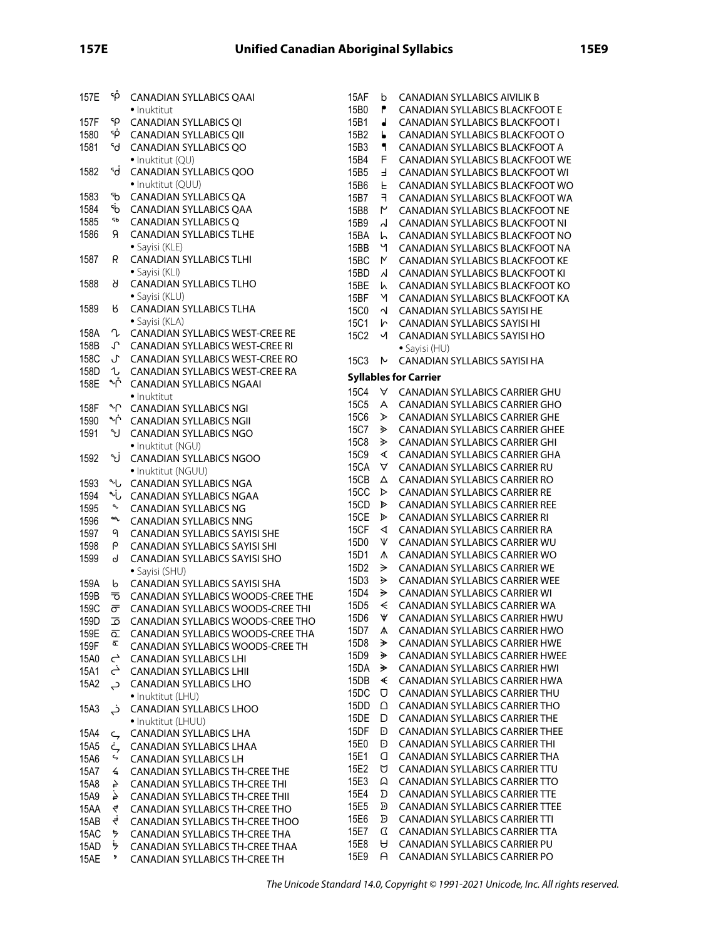| 157E         | ۹Ď                   | <b>CANADIAN SYLLABICS QAAI</b>                                         | 15AF             | b                                                                                                       |
|--------------|----------------------|------------------------------------------------------------------------|------------------|---------------------------------------------------------------------------------------------------------|
|              |                      | · Inuktitut                                                            | 15B0             | ۴                                                                                                       |
| 157F         | ٩ρ                   | <b>CANADIAN SYLLABICS QI</b>                                           | 15B1             | $\blacksquare$                                                                                          |
| 1580         | ۹ö                   | <b>CANADIAN SYLLABICS QII</b>                                          | 15B2             | Ь                                                                                                       |
| 1581         | ۹q                   | <b>CANADIAN SYLLABICS QO</b>                                           | 15B3             | ٩                                                                                                       |
|              |                      | · Inuktitut (QU)                                                       | 15B4             | F                                                                                                       |
| 1582         | ٩d                   | <b>CANADIAN SYLLABICS QOO</b>                                          | 15B5             | $\mathsf F$                                                                                             |
|              |                      | · Inuktitut (QUU)                                                      | 15B6             | F                                                                                                       |
| 1583         | ჼხ                   | <b>CANADIAN SYLLABICS QA</b>                                           | 15B7             | F                                                                                                       |
| 1584         | ٩b                   | <b>CANADIAN SYLLABICS QAA</b>                                          | 15B8             | ٣                                                                                                       |
| 1585         | SЬ                   | <b>CANADIAN SYLLABICS Q</b>                                            | 15B9             | $\overline{\mathsf{d}}$                                                                                 |
| 1586         | Я                    | <b>CANADIAN SYLLABICS TLHE</b>                                         | 15BA             | ١h                                                                                                      |
|              |                      | · Sayisi (KLE)                                                         | 15BB             | Ч                                                                                                       |
| 1587         | R                    | <b>CANADIAN SYLLABICS TLHI</b>                                         | 15BC             | M                                                                                                       |
|              |                      | • Sayisi (KLI)                                                         | 15BD             | $\lambda$                                                                                               |
| 1588         | Я                    | <b>CANADIAN SYLLABICS TLHO</b>                                         | 15BE             | ۱                                                                                                       |
|              |                      | · Sayisi (KLU)                                                         | 15BF             | Μ                                                                                                       |
| 1589         | Ϗ                    | <b>CANADIAN SYLLABICS TLHA</b>                                         | 15C0             | $\overline{\mathcal{N}}$                                                                                |
|              |                      | · Sayisi (KLA)                                                         | 15C1             | r                                                                                                       |
| 158A         | V                    | CANADIAN SYLLABICS WEST-CREE RE                                        | 15C2             | √                                                                                                       |
| 158B         | ᠊ᡗ                   | <b>CANADIAN SYLLABICS WEST-CREE RI</b>                                 |                  |                                                                                                         |
| 158C         | J                    | CANADIAN SYLLABICS WEST-CREE RO                                        | <b>15C3</b>      | N                                                                                                       |
| 158D         | U                    | CANADIAN SYLLABICS WEST-CREE RA                                        | <b>Syllables</b> |                                                                                                         |
| 158E         | ∿^                   | <b>CANADIAN SYLLABICS NGAAI</b>                                        | <b>15C4</b>      | A                                                                                                       |
|              |                      | · Inuktitut                                                            | 15C5             | A                                                                                                       |
| 158F         | ᠰ                    | <b>CANADIAN SYLLABICS NGI</b>                                          | <b>15C6</b>      | ⋗                                                                                                       |
| 1590         | ∱∿                   | <b>CANADIAN SYLLABICS NGII</b>                                         | 15C7             | D                                                                                                       |
| 1591         | ىي                   | <b>CANADIAN SYLLABICS NGO</b>                                          | <b>15C8</b>      | 少                                                                                                       |
|              |                      | · Inuktitut (NGU)                                                      | <b>15C9</b>      | ∢                                                                                                       |
| 1592         | ى•                   | <b>CANADIAN SYLLABICS NGOO</b>                                         | 15CA             | Δ                                                                                                       |
|              |                      | · Inuktitut (NGUU)                                                     | 15CB             | Д                                                                                                       |
| 1593         | م∿                   | <b>CANADIAN SYLLABICS NGA</b>                                          | 15CC             | D                                                                                                       |
| 1594         | من                   | CANADIAN SYLLABICS NGAA                                                | 15CD             | D                                                                                                       |
| 1595         | م<br>مم              | <b>CANADIAN SYLLABICS NG</b>                                           | 15CE             | D                                                                                                       |
| 1596         |                      | <b>CANADIAN SYLLABICS NNG</b>                                          | 15CF             | ◁                                                                                                       |
| 1597         | 9                    | CANADIAN SYLLABICS SAYISI SHE                                          | 15D0             | V                                                                                                       |
| 1598         | ρ                    | CANADIAN SYLLABICS SAYISI SHI                                          | 15D1             | ٨                                                                                                       |
| 1599         | d                    | CANADIAN SYLLABICS SAYISI SHO                                          | 15D2             | →                                                                                                       |
|              |                      | · Sayisi (SHU)                                                         | 15D3             | ⋟                                                                                                       |
| 159A         | b                    | CANADIAN SYLLABICS SAYISI SHA                                          | 15D4             | ⋟                                                                                                       |
| 159B<br>159C | ᠊ᢦ                   | CANADIAN SYLLABICS WOODS-CREE THE<br>CANADIAN SYLLABICS WOODS-CREE THI | 15D <sub>5</sub> | $\prec$                                                                                                 |
| 159D         | ᠳ<br>ᅙ               | CANADIAN SYLLABICS WOODS-CREE THO                                      | 15D6             | ₩                                                                                                       |
| 159E         |                      | CANADIAN SYLLABICS WOODS-CREE THA                                      | 15D7             | А                                                                                                       |
| 159F         | ᇎ<br>c               | CANADIAN SYLLABICS WOODS-CREE TH                                       | 15D8             | ≯                                                                                                       |
| 15A0         | $\mathfrak{\subset}$ | <b>CANADIAN SYLLABICS LHI</b>                                          | 15D9             | ₩                                                                                                       |
| 15A1         | خے                   | <b>CANADIAN SYLLABICS LHII</b>                                         | 15DA             | ⋟                                                                                                       |
| 15A2         |                      | <b>CANADIAN SYLLABICS LHO</b>                                          | 15DB             | $\blacktriangleleft$                                                                                    |
|              | ݼ                    | · Inuktitut (LHU)                                                      | 15DC             | U                                                                                                       |
| 15A3         | خہ                   | <b>CANADIAN SYLLABICS LHOO</b>                                         | 15DD             | Δ                                                                                                       |
|              |                      | · Inuktitut (LHUU)                                                     | 15DE             | D                                                                                                       |
| 15A4         |                      | <b>CANADIAN SYLLABICS LHA</b>                                          | 15DF             | D                                                                                                       |
| 15A5         | ς<br>ċ,              | CANADIAN SYLLABICS LHAA                                                | 15E0             | D                                                                                                       |
| 15A6         | ς,                   | <b>CANADIAN SYLLABICS LH</b>                                           | 15E1             | O                                                                                                       |
| 15A7         | 4                    | CANADIAN SYLLABICS TH-CREE THE                                         | 15E2             | Ŭ                                                                                                       |
| 15A8         | 4                    | <b>CANADIAN SYLLABICS TH-CREE THI</b>                                  | 15E3             | $\Omega$                                                                                                |
| 15A9         | ₹.                   | <b>CANADIAN SYLLABICS TH-CREE THII</b>                                 | 15E4             | $\boldsymbol{\Sigma}$                                                                                   |
| 15AA         | 4                    | CANADIAN SYLLABICS TH-CREE THO                                         | 15E5             | $\mathfrak{D}% _{T}=\mathfrak{D}_{T}\!\left( a,b\right) ,\ \mathfrak{D}_{T}=C_{T}\!\left( a,b\right) ,$ |
| 15AB         | ₹                    | CANADIAN SYLLABICS TH-CREE THOO                                        | 15E6             | Ð                                                                                                       |
| 15AC         | ち                    | CANADIAN SYLLABICS TH-CREE THA                                         | 15E7             | $\sigma$                                                                                                |
| 15AD         | ₹                    | CANADIAN SYLLABICS TH-CREE THAA                                        | 15E8             | Α                                                                                                       |
| 15AE         | 4                    | CANADIAN SYLLABICS TH-CREE TH                                          | 15E9             | A                                                                                                       |
|              |                      |                                                                        |                  |                                                                                                         |

| 15AF             | b  | <b>CANADIAN SYLLABICS AIVILIK B</b>                                   |
|------------------|----|-----------------------------------------------------------------------|
| 15B0             | P  | CANADIAN SYLLABICS BLACKFOOT E                                        |
| 15B1             | d  | CANADIAN SYLLABICS BLACKFOOT I                                        |
| 15B2             | Ь  | CANADIAN SYLLABICS BLACKFOOT O                                        |
| 15B3             | ٩  | CANADIAN SYLLABICS BLACKFOOT A                                        |
| 15B4             | F  | CANADIAN SYLLABICS BLACKFOOT WE                                       |
| 15B5             | Ⅎ  | CANADIAN SYLLABICS BLACKFOOT WI                                       |
| 15B6             | F  | CANADIAN SYLLABICS BLACKFOOT WO                                       |
|                  | ╕  |                                                                       |
| 15B7             |    | CANADIAN SYLLABICS BLACKFOOT WA                                       |
| 15B8             | ٣  | CANADIAN SYLLABICS BLACKFOOT NE                                       |
| 15B9             | اہ | <b>CANADIAN SYLLABICS BLACKFOOT NI</b>                                |
| 15BA             | ŀ٢ | CANADIAN SYLLABICS BLACKFOOT NO                                       |
| 15BB             | Ч  | CANADIAN SYLLABICS BLACKFOOT NA                                       |
| 15BC             | M  | CANADIAN SYLLABICS BLACKFOOT KE                                       |
| 15BD             | ٨l | CANADIAN SYLLABICS BLACKFOOT KI                                       |
| 15BE             | M  | CANADIAN SYLLABICS BLACKFOOT KO                                       |
| 15BF             | М  | CANADIAN SYLLABICS BLACKFOOT KA                                       |
| 15C0             | N  | <b>CANADIAN SYLLABICS SAYISI HE</b>                                   |
| 15C1             | h  | CANADIAN SYLLABICS SAYISI HI                                          |
| 15C2             | √  | CANADIAN SYLLABICS SAYISI HO                                          |
|                  |    | · Sayisi (HU)                                                         |
| 15C3             | N  | CANADIAN SYLLABICS SAYISI HA                                          |
|                  |    | <b>Syllables for Carrier</b>                                          |
| <b>15C4</b>      | Α  | CANADIAN SYLLABICS CARRIER GHU                                        |
| <b>15C5</b>      | A  | CANADIAN SYLLABICS CARRIER GHO                                        |
| <b>15C6</b>      | ⋗  | <b>CANADIAN SYLLABICS CARRIER GHE</b>                                 |
| 15C7             | ⋗  | <b>CANADIAN SYLLABICS CARRIER GHEE</b>                                |
| <b>15C8</b>      | 少  | <b>CANADIAN SYLLABICS CARRIER GHI</b>                                 |
| 15C9             | ∢  | CANADIAN SYLLABICS CARRIER GHA                                        |
| 15CA             | Δ  | CANADIAN SYLLABICS CARRIER RU                                         |
| 15CB             | Д  | <b>CANADIAN SYLLABICS CARRIER RO</b>                                  |
| 15CC             | ▷  | <b>CANADIAN SYLLABICS CARRIER RE</b>                                  |
| 15CD             | ▷  |                                                                       |
|                  |    | CANADIAN SYLLABICS CARRIER REE                                        |
| 15CE             | D  | <b>CANADIAN SYLLABICS CARRIER RI</b><br>CANADIAN SYLLABICS CARRIER RA |
| 15CF             | ◁  |                                                                       |
| 15D0             | Ψ  | CANADIAN SYLLABICS CARRIER WU                                         |
| 15D1             | ⋀  | CANADIAN SYLLABICS CARRIER WO                                         |
| 15D <sub>2</sub> | →  | CANADIAN SYLLABICS CARRIER WE                                         |
| 15D3             | ⋟  | CANADIAN SYLLABICS CARRIER WEE                                        |
| 15D4             | ⋟  | <b>CANADIAN SYLLABICS CARRIER WI</b>                                  |
| 15D <sub>5</sub> | ←  | CANADIAN SYLLABICS CARRIER WA                                         |
| 15D6             | ₩  | CANADIAN SYLLABICS CARRIER HWU                                        |
| 15D7             | А  | CANADIAN SYLLABICS CARRIER HWO                                        |
| 15D8             | ≯  | CANADIAN SYLLABICS CARRIER HWE                                        |
| 15D9             | ₩  | <b>CANADIAN SYLLABICS CARRIER HWEE</b>                                |
| 15DA             | ⋟  | <b>CANADIAN SYLLABICS CARRIER HWI</b>                                 |
| 15DB             | €  | CANADIAN SYLLABICS CARRIER HWA                                        |
| 15DC             | U  | CANADIAN SYLLABICS CARRIER THU                                        |
| 15DD             | Δ  | <b>CANADIAN SYLLABICS CARRIER THO</b>                                 |
| 15DE             | D  | <b>CANADIAN SYLLABICS CARRIER THE</b>                                 |
| 15DF             | D  | <b>CANADIAN SYLLABICS CARRIER THEE</b>                                |
| 15E0             | D  | <b>CANADIAN SYLLABICS CARRIER THI</b>                                 |
| 15E1             | q  | <b>CANADIAN SYLLABICS CARRIER THA</b>                                 |
| 15E2             | Ŋ  | CANADIAN SYLLABICS CARRIER TTU                                        |
| 15E3             | Q  | CANADIAN SYLLABICS CARRIER TTO                                        |
| 15E4             | D  | <b>CANADIAN SYLLABICS CARRIER TTE</b>                                 |
| 15E5             | Σ  | <b>CANADIAN SYLLABICS CARRIER TTEE</b>                                |
| 15E6             | Ð  | <b>CANADIAN SYLLABICS CARRIER TTI</b>                                 |
| 15E7             | α  | CANADIAN SYLLABICS CARRIER TTA                                        |
| 15E8             | A  | CANADIAN SYLLABICS CARRIER PU                                         |

CANADIAN SYLLABICS CARRIER PO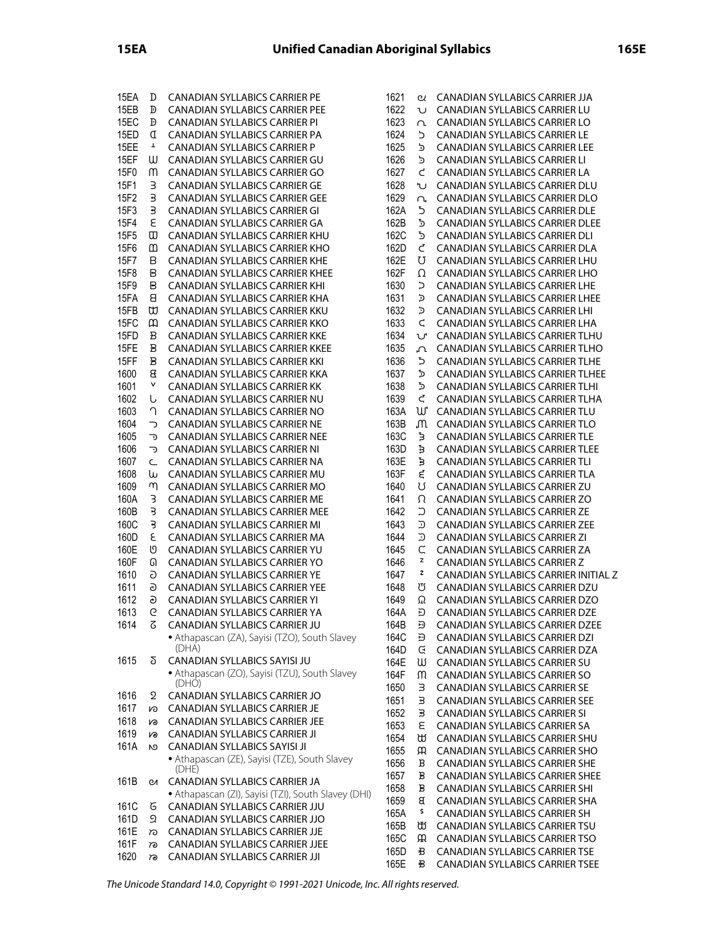| 15EA | D                       | CANADIAN SYLLABICS CARRIER PE                       | 1621 | ପ              | CANADIAN SYLLABICS CARRIER JJA         |
|------|-------------------------|-----------------------------------------------------|------|----------------|----------------------------------------|
| 15EB | D                       | <b>CANADIAN SYLLABICS CARRIER PEE</b>               | 1622 | U              | <b>CANADIAN SYLLABICS CARRIER LU</b>   |
| 15EC | Đ                       | <b>CANADIAN SYLLABICS CARRIER PI</b>                | 1623 | L              | <b>CANADIAN SYLLABICS CARRIER LO</b>   |
| 15ED | I                       | CANADIAN SYLLABICS CARRIER PA                       | 1624 | כ              | <b>CANADIAN SYLLABICS CARRIER LE</b>   |
| 15EE | Ŧ                       |                                                     | 1625 | ל              | <b>CANADIAN SYLLABICS CARRIER LEE</b>  |
|      |                         | CANADIAN SYLLABICS CARRIER P                        |      |                |                                        |
| 15EF | W                       | CANADIAN SYLLABICS CARRIER GU                       | 1626 | כֿ             | CANADIAN SYLLABICS CARRIER LI          |
| 15F0 | m                       | CANADIAN SYLLABICS CARRIER GO                       | 1627 | L              | CANADIAN SYLLABICS CARRIER LA          |
| 15F1 | 3                       | CANADIAN SYLLABICS CARRIER GE                       | 1628 | ぃ              | CANADIAN SYLLABICS CARRIER DLU         |
| 15F2 | В                       | CANADIAN SYLLABICS CARRIER GEE                      | 1629 | U,             | CANADIAN SYLLABICS CARRIER DLO         |
| 15F3 | $\overline{\mathbf{3}}$ | <b>CANADIAN SYLLABICS CARRIER GI</b>                | 162A | כֿ             | <b>CANADIAN SYLLABICS CARRIER DLE</b>  |
| 15F4 | ε                       | CANADIAN SYLLABICS CARRIER GA                       | 162B | ፟፟፟፟           | CANADIAN SYLLABICS CARRIER DLEE        |
|      |                         |                                                     | 162C |                |                                        |
| 15F5 | ω                       | CANADIAN SYLLABICS CARRIER KHU                      |      | Ъ              | CANADIAN SYLLABICS CARRIER DLI         |
| 15F6 | മ                       | <b>CANADIAN SYLLABICS CARRIER KHO</b>               | 162D | Ċ              | <b>CANADIAN SYLLABICS CARRIER DLA</b>  |
| 15F7 | В                       | <b>CANADIAN SYLLABICS CARRIER KHE</b>               | 162E | U              | CANADIAN SYLLABICS CARRIER LHU         |
| 15F8 | В                       | <b>CANADIAN SYLLABICS CARRIER KHEE</b>              | 162F | Ω              | <b>CANADIAN SYLLABICS CARRIER LHO</b>  |
| 15F9 | В                       | CANADIAN SYLLABICS CARRIER KHI                      | 1630 | $\overline{a}$ | CANADIAN SYLLABICS CARRIER LHE         |
| 15FA | 8                       | CANADIAN SYLLABICS CARRIER KHA                      | 1631 | כֿ             | <b>CANADIAN SYLLABICS CARRIER LHEE</b> |
| 15FB | ₩                       | CANADIAN SYLLABICS CARRIER KKU                      | 1632 | ב              | <b>CANADIAN SYLLABICS CARRIER LHI</b>  |
| 15FC | $\omega$                | CANADIAN SYLLABICS CARRIER KKO                      | 1633 | $\subset$      | <b>CANADIAN SYLLABICS CARRIER LHA</b>  |
|      |                         |                                                     | 1634 |                |                                        |
| 15FD | B                       | CANADIAN SYLLABICS CARRIER KKE                      |      | V              | CANADIAN SYLLABICS CARRIER TLHU        |
| 15FE | B                       | <b>CANADIAN SYLLABICS CARRIER KKEE</b>              | 1635 | ባ              | <b>CANADIAN SYLLABICS CARRIER TLHO</b> |
| 15FF | B                       | <b>CANADIAN SYLLABICS CARRIER KKI</b>               | 1636 | ら              | <b>CANADIAN SYLLABICS CARRIER TLHE</b> |
| 1600 | 8                       | CANADIAN SYLLABICS CARRIER KKA                      | 1637 | כֿ             | CANADIAN SYLLABICS CARRIER TLHEE       |
| 1601 | v                       | CANADIAN SYLLABICS CARRIER KK                       | 1638 | Ъ              | CANADIAN SYLLABICS CARRIER TLHI        |
| 1602 | U                       | CANADIAN SYLLABICS CARRIER NU                       | 1639 | Ç              | CANADIAN SYLLABICS CARRIER TLHA        |
| 1603 | ገ                       | CANADIAN SYLLABICS CARRIER NO                       | 163A | W              | <b>CANADIAN SYLLABICS CARRIER TLU</b>  |
| 1604 | っ                       | CANADIAN SYLLABICS CARRIER NE                       | 163B | M              | CANADIAN SYLLABICS CARRIER TLO         |
|      |                         |                                                     |      |                |                                        |
| 1605 | כד                      | <b>CANADIAN SYLLABICS CARRIER NEE</b>               | 163C | ξ              | <b>CANADIAN SYLLABICS CARRIER TLE</b>  |
| 1606 | ত                       | <b>CANADIAN SYLLABICS CARRIER NI</b>                | 163D | Б              | <b>CANADIAN SYLLABICS CARRIER TLEE</b> |
| 1607 | Ċ                       | CANADIAN SYLLABICS CARRIER NA                       | 163E | Б              | CANADIAN SYLLABICS CARRIER TLI         |
| 1608 | w                       | CANADIAN SYLLABICS CARRIER MU                       | 163F | ξ              | CANADIAN SYLLABICS CARRIER TLA         |
| 1609 | η                       | CANADIAN SYLLABICS CARRIER MO                       | 1640 | Ω              | <b>CANADIAN SYLLABICS CARRIER ZU</b>   |
| 160A | 3                       | CANADIAN SYLLABICS CARRIER ME                       | 1641 | Ω              | <b>CANADIAN SYLLABICS CARRIER ZO</b>   |
| 160B | Β                       | <b>CANADIAN SYLLABICS CARRIER MEE</b>               | 1642 | $\supset$      | <b>CANADIAN SYLLABICS CARRIER ZE</b>   |
| 160C | 3                       | CANADIAN SYLLABICS CARRIER MI                       | 1643 | כ              | CANADIAN SYLLABICS CARRIER ZEE         |
|      |                         |                                                     |      |                |                                        |
| 160D | ε                       | CANADIAN SYLLABICS CARRIER MA                       | 1644 | こ              | CANADIAN SYLLABICS CARRIER ZI          |
| 160E | ৩                       | CANADIAN SYLLABICS CARRIER YU                       | 1645 | $\subset$      | CANADIAN SYLLABICS CARRIER ZA          |
| 160F | ெ                       | CANADIAN SYLLABICS CARRIER YO                       | 1646 | z              | <b>CANADIAN SYLLABICS CARRIER Z</b>    |
| 1610 | G                       | CANADIAN SYLLABICS CARRIER YE                       | 1647 | ≉              | CANADIAN SYLLABICS CARRIER INITIAL Z   |
| 1611 | ව                       | CANADIAN SYLLABICS CARRIER YEE                      | 1648 | び              | CANADIAN SYLLABICS CARRIER DZU         |
| 1612 | $\overline{\mathbf{c}}$ | CANADIAN SYLLABICS CARRIER YI                       | 1649 | Ω              | CANADIAN SYLLABICS CARRIER DZO         |
| 1613 | G                       | <b>CANADIAN SYLLABICS CARRIER YA</b>                | 164A | ら              | <b>CANADIAN SYLLABICS CARRIER DZE</b>  |
| 1614 | 3                       | CANADIAN SYLLABICS CARRIER JU                       | 164B |                | CANADIAN SYLLABICS CARRIER DZEE        |
|      |                         | • Athapascan (ZA), Sayisi (TZO), South Slavey       | 164C | Đ              | <b>CANADIAN SYLLABICS CARRIER DZI</b>  |
|      |                         | (DHA)                                               |      | Đ              |                                        |
|      |                         |                                                     | 164D | G              | CANADIAN SYLLABICS CARRIER DZA         |
| 1615 | Σ                       | CANADIAN SYLLABICS SAYISI JU                        | 164E | ឃ              | <b>CANADIAN SYLLABICS CARRIER SU</b>   |
|      |                         | · Athapascan (ZO), Sayisi (TZU), South Slavey       | 164F | M              | <b>CANADIAN SYLLABICS CARRIER SO</b>   |
|      |                         | (DHO)                                               | 1650 | з              | <b>CANADIAN SYLLABICS CARRIER SE</b>   |
| 1616 | 2                       | CANADIAN SYLLABICS CARRIER JO                       | 1651 | Э              | <b>CANADIAN SYLLABICS CARRIER SEE</b>  |
| 1617 | w                       | CANADIAN SYLLABICS CARRIER JE                       | 1652 | З              | <b>CANADIAN SYLLABICS CARRIER SI</b>   |
| 1618 | <b>S</b>                | <b>CANADIAN SYLLABICS CARRIER JEE</b>               | 1653 | ε              | <b>CANADIAN SYLLABICS CARRIER SA</b>   |
| 1619 | <b>S</b>                | <b>CANADIAN SYLLABICS CARRIER JI</b>                |      |                | <b>CANADIAN SYLLABICS CARRIER SHU</b>  |
| 161A | <b>N</b>                | CANADIAN SYLLABICS SAYISI JI                        | 1654 | ₩              |                                        |
|      |                         | • Athapascan (ZE), Sayisi (TZE), South Slavey       | 1655 | m              | <b>CANADIAN SYLLABICS CARRIER SHO</b>  |
|      |                         | (DHE)                                               | 1656 | В              | CANADIAN SYLLABICS CARRIER SHE         |
| 161B | Q1                      | CANADIAN SYLLABICS CARRIER JA                       | 1657 | В              | <b>CANADIAN SYLLABICS CARRIER SHEE</b> |
|      |                         |                                                     | 1658 | В              | <b>CANADIAN SYLLABICS CARRIER SHI</b>  |
|      |                         | • Athapascan (ZI), Sayisi (TZI), South Slavey (DHI) | 1659 | В              | CANADIAN SYLLABICS CARRIER SHA         |
| 161C | 6                       | CANADIAN SYLLABICS CARRIER JJU                      | 165A | \$             | <b>CANADIAN SYLLABICS CARRIER SH</b>   |
| 161D | ର                       | CANADIAN SYLLABICS CARRIER JJO                      | 165B | ₩              | <b>CANADIAN SYLLABICS CARRIER TSU</b>  |
| 161E | ಗಾ                      | CANADIAN SYLLABICS CARRIER JJE                      |      |                |                                        |
| 161F | ಗಾ                      | <b>CANADIAN SYLLABICS CARRIER JJEE</b>              | 165C | ЯĤ.            | <b>CANADIAN SYLLABICS CARRIER TSO</b>  |
| 1620 | ಣ                       | <b>CANADIAN SYLLABICS CARRIER JJI</b>               | 165D | B              | <b>CANADIAN SYLLABICS CARRIER TSE</b>  |
|      |                         |                                                     | 165E | B              | <b>CANADIAN SYLLABICS CARRIER TSEE</b> |